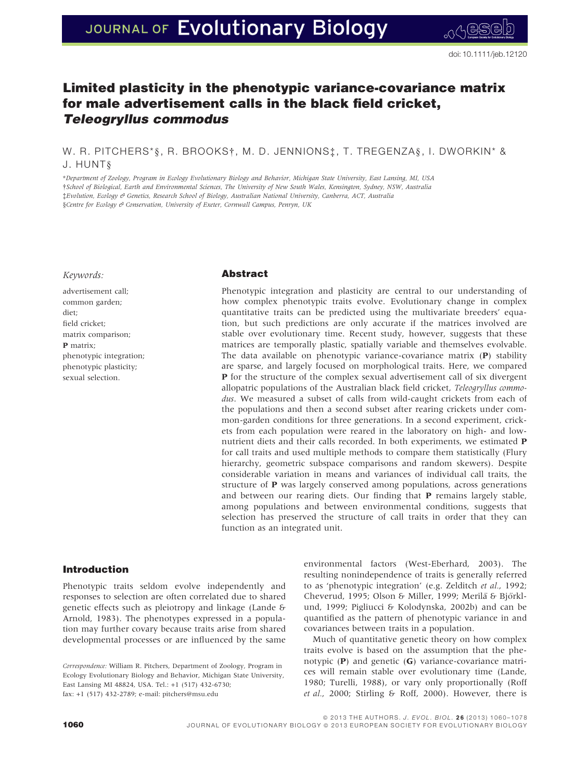# JOURNAL OF Evolutionary Biology

# Limited plasticity in the phenotypic variance-covariance matrix for male advertisement calls in the black field cricket, Teleogryllus commodus

W. R. PITCHERS\*§, R. BROOKS†, M. D. JENNIONS‡, T. TREGENZA§, I. DWORKIN\* & J. HUNT§

\*Department of Zoology, Program in Ecology Evolutionary Biology and Behavior, Michigan State University, East Lansing, MI, USA †School of Biological, Earth and Environmental Sciences, The University of New South Wales, Kensington, Sydney, NSW, Australia ‡Evolution, Ecology & Genetics, Research School of Biology, Australian National University, Canberra, ACT, Australia §Centre for Ecology & Conservation, University of Exeter, Cornwall Campus, Penryn, UK

#### Keywords:

advertisement call; common garden; diet; field cricket; matrix comparison; P matrix; phenotypic integration; phenotypic plasticity; sexual selection.

### Abstract

Phenotypic integration and plasticity are central to our understanding of how complex phenotypic traits evolve. Evolutionary change in complex quantitative traits can be predicted using the multivariate breeders' equation, but such predictions are only accurate if the matrices involved are stable over evolutionary time. Recent study, however, suggests that these matrices are temporally plastic, spatially variable and themselves evolvable. The data available on phenotypic variance-covariance matrix (P) stability are sparse, and largely focused on morphological traits. Here, we compared P for the structure of the complex sexual advertisement call of six divergent allopatric populations of the Australian black field cricket, Teleogryllus commodus. We measured a subset of calls from wild-caught crickets from each of the populations and then a second subset after rearing crickets under common-garden conditions for three generations. In a second experiment, crickets from each population were reared in the laboratory on high- and lownutrient diets and their calls recorded. In both experiments, we estimated P for call traits and used multiple methods to compare them statistically (Flury hierarchy, geometric subspace comparisons and random skewers). Despite considerable variation in means and variances of individual call traits, the structure of P was largely conserved among populations, across generations and between our rearing diets. Our finding that P remains largely stable, among populations and between environmental conditions, suggests that selection has preserved the structure of call traits in order that they can function as an integrated unit.

# Introduction

Phenotypic traits seldom evolve independently and responses to selection are often correlated due to shared genetic effects such as pleiotropy and linkage (Lande & Arnold, 1983). The phenotypes expressed in a population may further covary because traits arise from shared developmental processes or are influenced by the same

environmental factors (West-Eberhard, 2003). The resulting nonindependence of traits is generally referred to as 'phenotypic integration' (e.g. Zelditch et al., 1992; Cheverud, 1995; Olson & Miller, 1999; Merilä & Björklund, 1999; Pigliucci & Kolodynska, 2002b) and can be quantified as the pattern of phenotypic variance in and covariances between traits in a population.

Much of quantitative genetic theory on how complex traits evolve is based on the assumption that the phenotypic  $(P)$  and genetic  $(G)$  variance-covariance matrices will remain stable over evolutionary time (Lande, 1980; Turelli, 1988), or vary only proportionally (Roff et al., 2000; Stirling & Roff, 2000). However, there is

Correspondence: William R. Pitchers, Department of Zoology, Program in Ecology Evolutionary Biology and Behavior, Michigan State University, East Lansing MI 48824, USA. Tel.: +1 (517) 432-6730; fax: +1 (517) 432-2789; e-mail: pitchers@msu.edu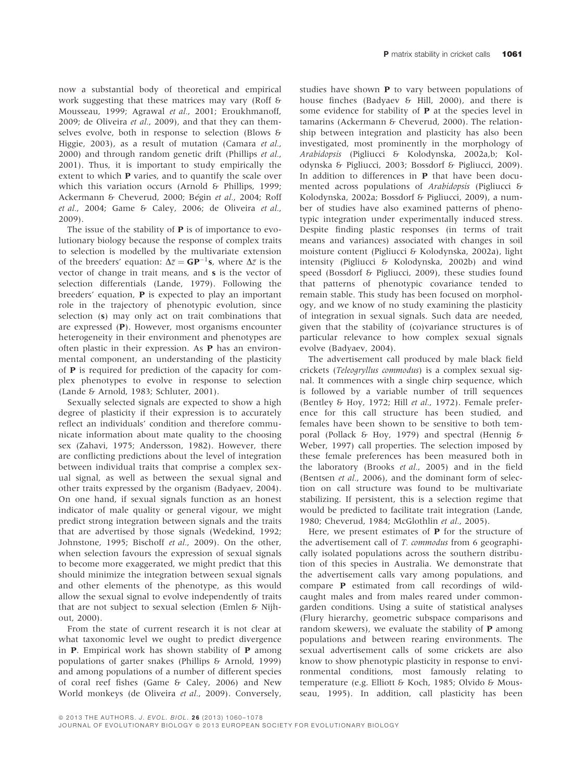now a substantial body of theoretical and empirical work suggesting that these matrices may vary (Roff & Mousseau, 1999; Agrawal et al., 2001; Eroukhmanoff, 2009; de Oliveira et al., 2009), and that they can themselves evolve, both in response to selection (Blows & Higgie, 2003), as a result of mutation (Camara et al., 2000) and through random genetic drift (Phillips et al., 2001). Thus, it is important to study empirically the extent to which P varies, and to quantify the scale over which this variation occurs (Arnold & Phillips, 1999; Ackermann & Cheverud, 2000; Bégin et al., 2004; Roff et al., 2004; Game & Caley, 2006; de Oliveira et al., 2009).

The issue of the stability of **P** is of importance to evolutionary biology because the response of complex traits to selection is modelled by the multivariate extension of the breeders' equation:  $\Delta \bar{z} = \mathbf{GP}^{-1} \mathbf{s}$ , where  $\Delta \bar{z}$  is the vector of change in trait means, and s is the vector of selection differentials (Lande, 1979). Following the breeders' equation, P is expected to play an important role in the trajectory of phenotypic evolution, since selection (s) may only act on trait combinations that are expressed (P). However, most organisms encounter heterogeneity in their environment and phenotypes are often plastic in their expression. As P has an environmental component, an understanding of the plasticity of P is required for prediction of the capacity for complex phenotypes to evolve in response to selection (Lande & Arnold, 1983; Schluter, 2001).

Sexually selected signals are expected to show a high degree of plasticity if their expression is to accurately reflect an individuals' condition and therefore communicate information about mate quality to the choosing sex (Zahavi, 1975; Andersson, 1982). However, there are conflicting predictions about the level of integration between individual traits that comprise a complex sexual signal, as well as between the sexual signal and other traits expressed by the organism (Badyaev, 2004). On one hand, if sexual signals function as an honest indicator of male quality or general vigour, we might predict strong integration between signals and the traits that are advertised by those signals (Wedekind, 1992; Johnstone, 1995; Bischoff et al., 2009). On the other, when selection favours the expression of sexual signals to become more exaggerated, we might predict that this should minimize the integration between sexual signals and other elements of the phenotype, as this would allow the sexual signal to evolve independently of traits that are not subject to sexual selection (Emlen & Nijhout, 2000).

From the state of current research it is not clear at what taxonomic level we ought to predict divergence in P. Empirical work has shown stability of P among populations of garter snakes (Phillips & Arnold, 1999) and among populations of a number of different species of coral reef fishes (Game & Caley, 2006) and New World monkeys (de Oliveira et al., 2009). Conversely,

studies have shown P to vary between populations of house finches (Badyaev & Hill, 2000), and there is some evidence for stability of P at the species level in tamarins (Ackermann & Cheverud, 2000). The relationship between integration and plasticity has also been investigated, most prominently in the morphology of Arabidopsis (Pigliucci & Kolodynska, 2002a,b; Kolodynska & Pigliucci, 2003; Bossdorf & Pigliucci, 2009). In addition to differences in P that have been documented across populations of Arabidopsis (Pigliucci & Kolodynska, 2002a; Bossdorf & Pigliucci, 2009), a number of studies have also examined patterns of phenotypic integration under experimentally induced stress. Despite finding plastic responses (in terms of trait means and variances) associated with changes in soil moisture content (Pigliucci & Kolodynska, 2002a), light intensity (Pigliucci & Kolodynska, 2002b) and wind speed (Bossdorf & Pigliucci, 2009), these studies found that patterns of phenotypic covariance tended to remain stable. This study has been focused on morphology, and we know of no study examining the plasticity of integration in sexual signals. Such data are needed, given that the stability of (co)variance structures is of particular relevance to how complex sexual signals evolve (Badyaev, 2004).

The advertisement call produced by male black field crickets (Teleogryllus commodus) is a complex sexual signal. It commences with a single chirp sequence, which is followed by a variable number of trill sequences (Bentley & Hoy, 1972; Hill et al., 1972). Female preference for this call structure has been studied, and females have been shown to be sensitive to both temporal (Pollack & Hoy, 1979) and spectral (Hennig & Weber, 1997) call properties. The selection imposed by these female preferences has been measured both in the laboratory (Brooks et al., 2005) and in the field (Bentsen et al., 2006), and the dominant form of selection on call structure was found to be multivariate stabilizing. If persistent, this is a selection regime that would be predicted to facilitate trait integration (Lande, 1980; Cheverud, 1984; McGlothlin et al., 2005).

Here, we present estimates of P for the structure of the advertisement call of T. commodus from 6 geographically isolated populations across the southern distribution of this species in Australia. We demonstrate that the advertisement calls vary among populations, and compare P estimated from call recordings of wildcaught males and from males reared under commongarden conditions. Using a suite of statistical analyses (Flury hierarchy, geometric subspace comparisons and random skewers), we evaluate the stability of  $P$  among populations and between rearing environments. The sexual advertisement calls of some crickets are also know to show phenotypic plasticity in response to environmental conditions, most famously relating to temperature (e.g. Elliott & Koch, 1985; Olvido & Mousseau, 1995). In addition, call plasticity has been

<sup>© 2013</sup> THE AUTHORS. J. EVOL. BIOL. 26 (2013) 1060-1078

JOURNAL OF EVOLUTIONARY BIOLOGY @ 2013 EUROPEAN SOCIETY FOR EVOLUTIONARY BIOLOGY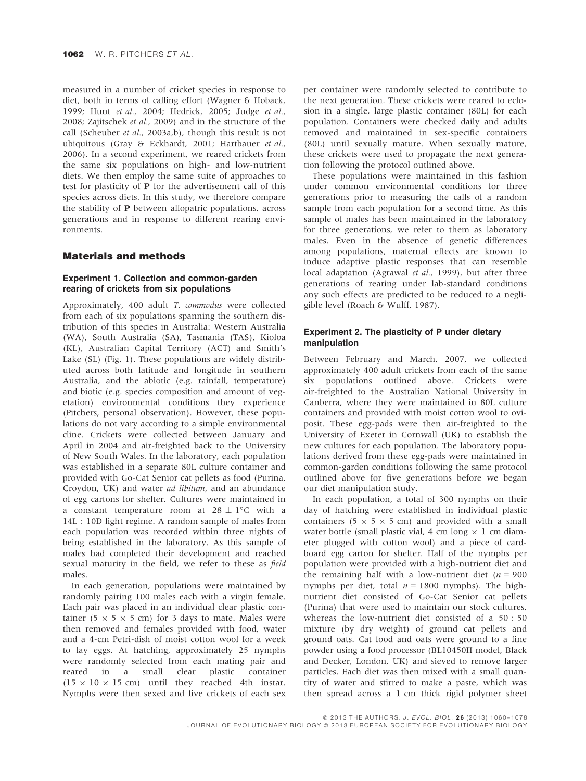measured in a number of cricket species in response to diet, both in terms of calling effort (Wagner & Hoback, 1999; Hunt et al., 2004; Hedrick, 2005; Judge et al., 2008; Zajitschek et al., 2009) and in the structure of the call (Scheuber et al., 2003a,b), though this result is not ubiquitous (Gray & Eckhardt, 2001; Hartbauer et al., 2006). In a second experiment, we reared crickets from the same six populations on high- and low-nutrient diets. We then employ the same suite of approaches to test for plasticity of P for the advertisement call of this species across diets. In this study, we therefore compare the stability of P between allopatric populations, across generations and in response to different rearing environments.

#### Materials and methods

### Experiment 1. Collection and common-garden rearing of crickets from six populations

Approximately, 400 adult T. commodus were collected from each of six populations spanning the southern distribution of this species in Australia: Western Australia (WA), South Australia (SA), Tasmania (TAS), Kioloa (KL), Australian Capital Territory (ACT) and Smith's Lake (SL) (Fig. 1). These populations are widely distributed across both latitude and longitude in southern Australia, and the abiotic (e.g. rainfall, temperature) and biotic (e.g. species composition and amount of vegetation) environmental conditions they experience (Pitchers, personal observation). However, these populations do not vary according to a simple environmental cline. Crickets were collected between January and April in 2004 and air-freighted back to the University of New South Wales. In the laboratory, each population was established in a separate 80L culture container and provided with Go-Cat Senior cat pellets as food (Purina, Croydon, UK) and water ad libitum, and an abundance of egg cartons for shelter. Cultures were maintained in a constant temperature room at  $28 \pm 1^{\circ}$ C with a 14L : 10D light regime. A random sample of males from each population was recorded within three nights of being established in the laboratory. As this sample of males had completed their development and reached sexual maturity in the field, we refer to these as field males.

In each generation, populations were maintained by randomly pairing 100 males each with a virgin female. Each pair was placed in an individual clear plastic container (5  $\times$  5  $\times$  5 cm) for 3 days to mate. Males were then removed and females provided with food, water and a 4-cm Petri-dish of moist cotton wool for a week to lay eggs. At hatching, approximately 25 nymphs were randomly selected from each mating pair and reared in a small clear plastic container  $(15 \times 10 \times 15$  cm) until they reached 4th instar. Nymphs were then sexed and five crickets of each sex

per container were randomly selected to contribute to the next generation. These crickets were reared to eclosion in a single, large plastic container (80L) for each population. Containers were checked daily and adults removed and maintained in sex-specific containers (80L) until sexually mature. When sexually mature, these crickets were used to propagate the next generation following the protocol outlined above.

These populations were maintained in this fashion under common environmental conditions for three generations prior to measuring the calls of a random sample from each population for a second time. As this sample of males has been maintained in the laboratory for three generations, we refer to them as laboratory males. Even in the absence of genetic differences among populations, maternal effects are known to induce adaptive plastic responses that can resemble local adaptation (Agrawal et al., 1999), but after three generations of rearing under lab-standard conditions any such effects are predicted to be reduced to a negligible level (Roach & Wulff, 1987).

#### Experiment 2. The plasticity of P under dietary manipulation

Between February and March, 2007, we collected approximately 400 adult crickets from each of the same six populations outlined above. Crickets were air-freighted to the Australian National University in Canberra, where they were maintained in 80L culture containers and provided with moist cotton wool to oviposit. These egg-pads were then air-freighted to the University of Exeter in Cornwall (UK) to establish the new cultures for each population. The laboratory populations derived from these egg-pads were maintained in common-garden conditions following the same protocol outlined above for five generations before we began our diet manipulation study.

In each population, a total of 300 nymphs on their day of hatching were established in individual plastic containers (5  $\times$  5  $\times$  5 cm) and provided with a small water bottle (small plastic vial, 4 cm long  $\times$  1 cm diameter plugged with cotton wool) and a piece of cardboard egg carton for shelter. Half of the nymphs per population were provided with a high-nutrient diet and the remaining half with a low-nutrient diet ( $n = 900$ nymphs per diet, total  $n = 1800$  nymphs). The highnutrient diet consisted of Go-Cat Senior cat pellets (Purina) that were used to maintain our stock cultures, whereas the low-nutrient diet consisted of a 50 : 50 mixture (by dry weight) of ground cat pellets and ground oats. Cat food and oats were ground to a fine powder using a food processor (BL10450H model, Black and Decker, London, UK) and sieved to remove larger particles. Each diet was then mixed with a small quantity of water and stirred to make a paste, which was then spread across a 1 cm thick rigid polymer sheet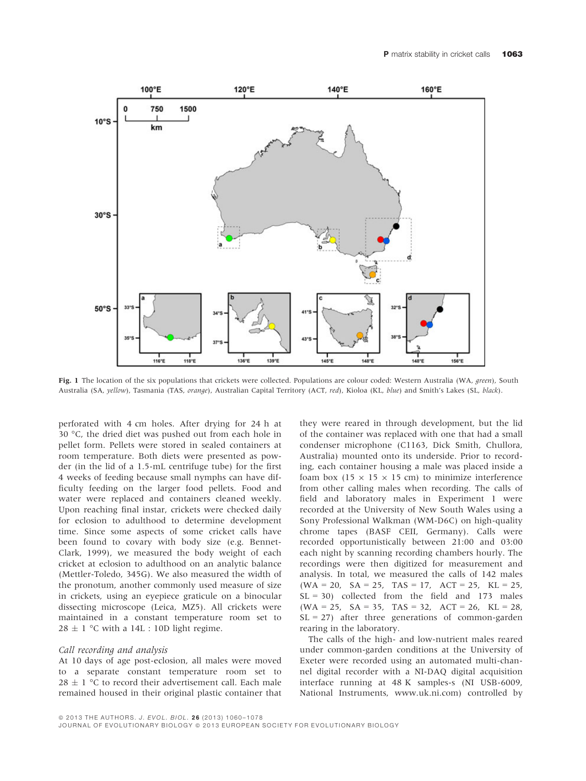

Fig. 1 The location of the six populations that crickets were collected. Populations are colour coded: Western Australia (WA, *green*), South Australia (SA, yellow), Tasmania (TAS, orange), Australian Capital Territory (ACT, red), Kioloa (KL, blue) and Smith's Lakes (SL, black).

perforated with 4 cm holes. After drying for 24 h at 30 °C, the dried diet was pushed out from each hole in pellet form. Pellets were stored in sealed containers at room temperature. Both diets were presented as powder (in the lid of a 1.5-mL centrifuge tube) for the first 4 weeks of feeding because small nymphs can have difficulty feeding on the larger food pellets. Food and water were replaced and containers cleaned weekly. Upon reaching final instar, crickets were checked daily for eclosion to adulthood to determine development time. Since some aspects of some cricket calls have been found to covary with body size (e.g. Bennet-Clark, 1999), we measured the body weight of each cricket at eclosion to adulthood on an analytic balance (Mettler-Toledo, 345G). We also measured the width of the pronotum, another commonly used measure of size in crickets, using an eyepiece graticule on a binocular dissecting microscope (Leica, MZ5). All crickets were maintained in a constant temperature room set to  $28 \pm 1$  °C with a 14L : 10D light regime.

#### Call recording and analysis

At 10 days of age post-eclosion, all males were moved to a separate constant temperature room set to 28  $\pm$  1 °C to record their advertisement call. Each male remained housed in their original plastic container that

they were reared in through development, but the lid of the container was replaced with one that had a small condenser microphone (C1163, Dick Smith, Chullora, Australia) mounted onto its underside. Prior to recording, each container housing a male was placed inside a foam box (15  $\times$  15  $\times$  15 cm) to minimize interference from other calling males when recording. The calls of field and laboratory males in Experiment 1 were recorded at the University of New South Wales using a Sony Professional Walkman (WM-D6C) on high-quality chrome tapes (BASF CEII, Germany). Calls were recorded opportunistically between 21:00 and 03:00 each night by scanning recording chambers hourly. The recordings were then digitized for measurement and analysis. In total, we measured the calls of 142 males  $(WA = 20, SA = 25, TAS = 17, ACT = 25, KL = 25,$  $SL = 30$ ) collected from the field and 173 males  $(WA = 25, SA = 35, TAS = 32, ACT = 26, KL = 28,$  $SL = 27$ ) after three generations of common-garden rearing in the laboratory.

The calls of the high- and low-nutrient males reared under common-garden conditions at the University of Exeter were recorded using an automated multi-channel digital recorder with a NI-DAQ digital acquisition interface running at 48 K samples-s (NI USB-6009, National Instruments, www.uk.ni.com) controlled by

© 2013 THE AUTHORS. J. EVOL. BIOL. 26 (2013) 1060-1078

JOURNAL OF EVOLUTIONARY BIOLOGY @ 2013 EUROPEAN SOCIETY FOR EVOLUTIONARY BIOLOGY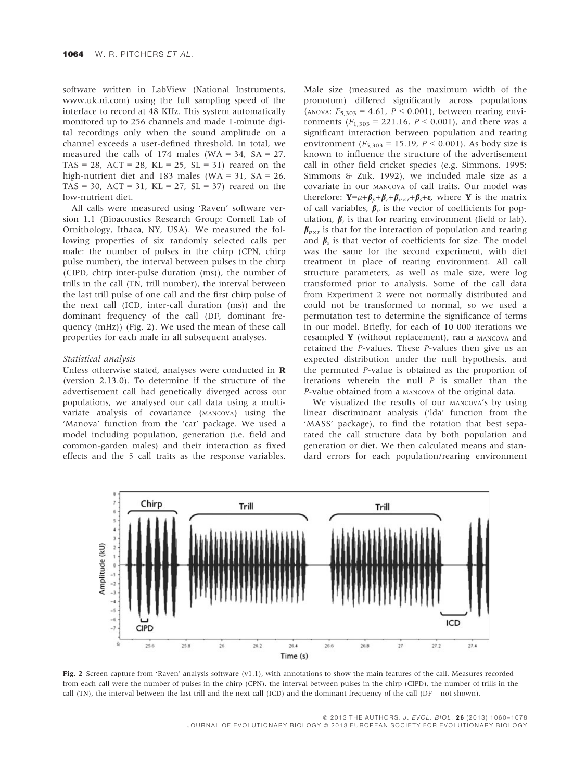software written in LabView (National Instruments, www.uk.ni.com) using the full sampling speed of the interface to record at 48 KHz. This system automatically monitored up to 256 channels and made 1-minute digital recordings only when the sound amplitude on a channel exceeds a user-defined threshold. In total, we measured the calls of 174 males (WA =  $34$ , SA =  $27$ , TAS = 28, ACT = 28, KL = 25, SL = 31) reared on the high-nutrient diet and 183 males (WA = 31, SA = 26, TAS = 30, ACT = 31, KL = 27, SL = 37) reared on the low-nutrient diet.

All calls were measured using 'Raven' software version 1.1 (Bioacoustics Research Group: Cornell Lab of Ornithology, Ithaca, NY, USA). We measured the following properties of six randomly selected calls per male: the number of pulses in the chirp (CPN, chirp pulse number), the interval between pulses in the chirp (CIPD, chirp inter-pulse duration (ms)), the number of trills in the call (TN, trill number), the interval between the last trill pulse of one call and the first chirp pulse of the next call (ICD, inter-call duration (ms)) and the dominant frequency of the call (DF, dominant frequency (mHz)) (Fig. 2). We used the mean of these call properties for each male in all subsequent analyses.

#### Statistical analysis

Unless otherwise stated, analyses were conducted in R (version 2.13.0). To determine if the structure of the advertisement call had genetically diverged across our populations, we analysed our call data using a multivariate analysis of covariance (MANCOVA) using the 'Manova' function from the 'car' package. We used a model including population, generation (i.e. field and common-garden males) and their interaction as fixed effects and the 5 call traits as the response variables.

Male size (measured as the maximum width of the pronotum) differed significantly across populations (ANOVA:  $F_{5,303} = 4.61$ ,  $P < 0.001$ ), between rearing environments  $(F_{1,303} = 221.16, P \le 0.001)$ , and there was a significant interaction between population and rearing environment ( $F_{5,303} = 15.19$ ,  $P < 0.001$ ). As body size is known to influence the structure of the advertisement call in other field cricket species (e.g. Simmons, 1995; Simmons & Zuk, 1992), we included male size as a covariate in our MANCOVA of call traits. Our model was therefore:  $\mathbf{Y} = \mu + \beta_p + \beta_r + \beta_{p \times r} + \beta_s + \varepsilon$ , where **Y** is the matrix of call variables,  $\beta_n$  is the vector of coefficients for population,  $\beta_r$  is that for rearing environment (field or lab),  $\beta_{n \times r}$  is that for the interaction of population and rearing and  $\beta_s$  is that vector of coefficients for size. The model was the same for the second experiment, with diet treatment in place of rearing environment. All call structure parameters, as well as male size, were log transformed prior to analysis. Some of the call data from Experiment 2 were not normally distributed and could not be transformed to normal, so we used a permutation test to determine the significance of terms in our model. Briefly, for each of 10 000 iterations we resampled  $Y$  (without replacement), ran a MANCOVA and retained the P-values. These P-values then give us an expected distribution under the null hypothesis, and the permuted P-value is obtained as the proportion of iterations wherein the null  $P$  is smaller than the P-value obtained from a MANCOVA of the original data.

We visualized the results of our MANCOVA's by using linear discriminant analysis ('lda' function from the 'MASS' package), to find the rotation that best separated the call structure data by both population and generation or diet. We then calculated means and standard errors for each population/rearing environment



Fig. 2 Screen capture from 'Raven' analysis software (v1.1), with annotations to show the main features of the call. Measures recorded from each call were the number of pulses in the chirp (CPN), the interval between pulses in the chirp (CIPD), the number of trills in the call (TN), the interval between the last trill and the next call (ICD) and the dominant frequency of the call (DF – not shown).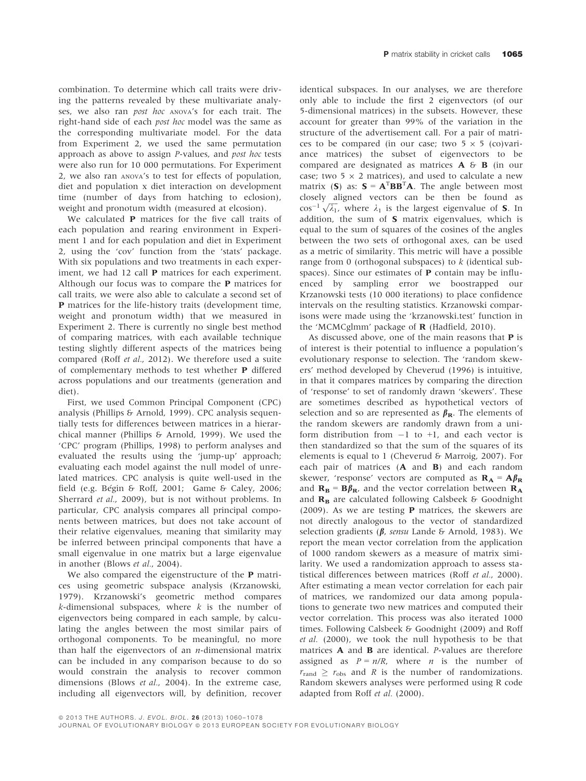combination. To determine which call traits were driving the patterns revealed by these multivariate analyses, we also ran *post hoc* ANOVA's for each trait. The right-hand side of each post hoc model was the same as the corresponding multivariate model. For the data from Experiment 2, we used the same permutation approach as above to assign P-values, and post hoc tests were also run for 10 000 permutations. For Experiment 2, we also ran ANOVA's to test for effects of population, diet and population x diet interaction on development time (number of days from hatching to eclosion), weight and pronotum width (measured at elcosion).

We calculated **P** matrices for the five call traits of each population and rearing environment in Experiment 1 and for each population and diet in Experiment 2, using the 'cov' function from the 'stats' package. With six populations and two treatments in each experiment, we had 12 call P matrices for each experiment. Although our focus was to compare the P matrices for call traits, we were also able to calculate a second set of P matrices for the life-history traits (development time, weight and pronotum width) that we measured in Experiment 2. There is currently no single best method of comparing matrices, with each available technique testing slightly different aspects of the matrices being compared (Roff et al., 2012). We therefore used a suite of complementary methods to test whether P differed across populations and our treatments (generation and diet).

First, we used Common Principal Component (CPC) analysis (Phillips & Arnold, 1999). CPC analysis sequentially tests for differences between matrices in a hierarchical manner (Phillips & Arnold, 1999). We used the 'CPC' program (Phillips, 1998) to perform analyses and evaluated the results using the 'jump-up' approach; evaluating each model against the null model of unrelated matrices. CPC analysis is quite well-used in the field (e.g. Bégin & Roff, 2001; Game & Caley, 2006; Sherrard et al., 2009), but is not without problems. In particular, CPC analysis compares all principal components between matrices, but does not take account of their relative eigenvalues, meaning that similarity may be inferred between principal components that have a small eigenvalue in one matrix but a large eigenvalue in another (Blows et al., 2004).

We also compared the eigenstructure of the **P** matrices using geometric subspace analysis (Krzanowski, 1979). Krzanowski's geometric method compares  $k$ -dimensional subspaces, where  $k$  is the number of eigenvectors being compared in each sample, by calculating the angles between the most similar pairs of orthogonal components. To be meaningful, no more than half the eigenvectors of an  $n$ -dimensional matrix can be included in any comparison because to do so would constrain the analysis to recover common dimensions (Blows et al., 2004). In the extreme case, including all eigenvectors will, by definition, recover identical subspaces. In our analyses, we are therefore only able to include the first 2 eigenvectors (of our 5-dimensional matrices) in the subsets. However, these account for greater than 99% of the variation in the structure of the advertisement call. For a pair of matrices to be compared (in our case; two  $5 \times 5$  (co)variance matrices) the subset of eigenvectors to be compared are designated as matrices A & B (in our case; two 5  $\times$  2 matrices), and used to calculate a new matrix (S) as:  $S = A^TBB^T A$ . The angle between most closely aligned vectors can be then be found as closely aligned vectors can be then be found as  $\cos^{-1}\sqrt{\lambda_1}$ , where  $\lambda_1$  is the largest eigenvalue of **S**. In addition, the sum of S matrix eigenvalues, which is equal to the sum of squares of the cosines of the angles between the two sets of orthogonal axes, can be used as a metric of similarity. This metric will have a possible range from 0 (orthogonal subspaces) to  $k$  (identical subspaces). Since our estimates of  $P$  contain may be influenced by sampling error we boostrapped our Krzanowski tests (10 000 iterations) to place confidence intervals on the resulting statistics. Krzanowski comparisons were made using the 'krzanowski.test' function in the 'MCMCglmm' package of R (Hadfield, 2010).

As discussed above, one of the main reasons that  $P$  is of interest is their potential to influence a population's evolutionary response to selection. The 'random skewers' method developed by Cheverud (1996) is intuitive, in that it compares matrices by comparing the direction of 'response' to set of randomly drawn 'skewers'. These are sometimes described as hypothetical vectors of selection and so are represented as  $\beta_{\rm R}$ . The elements of the random skewers are randomly drawn from a uniform distribution from  $-1$  to  $+1$ , and each vector is then standardized so that the sum of the squares of its elements is equal to 1 (Cheverud & Marroig, 2007). For each pair of matrices (A and B) and each random skewer, 'response' vectors are computed as  $\mathbf{R}_{\mathbf{A}} = \mathbf{A} \beta_{\mathbf{R}}$ and  $\mathbf{R}_{\mathbf{B}} = \mathbf{B} \beta_{\mathbf{R}}$ , and the vector correlation between  $\mathbf{R}_{\mathbf{A}}$ and  $\mathbf{R}_{\mathbf{B}}$  are calculated following Calsbeek & Goodnight (2009). As we are testing P matrices, the skewers are not directly analogous to the vector of standardized selection gradients ( $\beta$ , sensu Lande & Arnold, 1983). We report the mean vector correlation from the application of 1000 random skewers as a measure of matrix similarity. We used a randomization approach to assess statistical differences between matrices (Roff et al., 2000). After estimating a mean vector correlation for each pair of matrices, we randomized our data among populations to generate two new matrices and computed their vector correlation. This process was also iterated 1000 times. Following Calsbeek & Goodnight (2009) and Roff et al. (2000), we took the null hypothesis to be that matrices A and B are identical. P-values are therefore assigned as  $P = n/R$ , where *n* is the number of  $r_{\text{rand}} \ge r_{\text{obs}}$  and R is the number of randomizations. Random skewers analyses were performed using R code adapted from Roff et al. (2000).

© 2013 THE AUTHORS. J. EVOL. BIOL. 26 (2013) 1060-1078

JOURNAL OF EVOLUTIONARY BIOLOGY @ 2013 EUROPEAN SOCIETY FOR EVOLUTIONARY BIOLOGY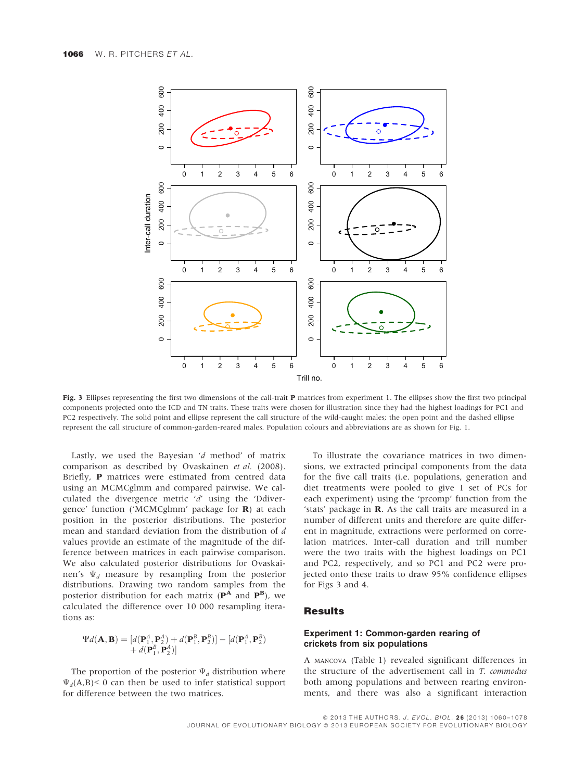

Fig. 3 Ellipses representing the first two dimensions of the call-trait P matrices from experiment 1. The ellipses show the first two principal components projected onto the ICD and TN traits. These traits were chosen for illustration since they had the highest loadings for PC1 and PC2 respectively. The solid point and ellipse represent the call structure of the wild-caught males; the open point and the dashed ellipse represent the call structure of common-garden-reared males. Population colours and abbreviations are as shown for Fig. 1.

Lastly, we used the Bayesian 'd method' of matrix comparison as described by Ovaskainen et al. (2008). Briefly, P matrices were estimated from centred data using an MCMCglmm and compared pairwise. We calculated the divergence metric 'd' using the 'Ddivergence' function ('MCMCglmm' package for R) at each position in the posterior distributions. The posterior mean and standard deviation from the distribution of d values provide an estimate of the magnitude of the difference between matrices in each pairwise comparison. We also calculated posterior distributions for Ovaskainen's  $\Psi_d$  measure by resampling from the posterior distributions. Drawing two random samples from the posterior distribution for each matrix  $(\mathbf{P}^{\mathbf{A}})$  and  $(\mathbf{P}^{\mathbf{B}})$ , we calculated the difference over 10 000 resampling iterations as:

$$
\Psi d(\mathbf{A}, \mathbf{B}) = [d(\mathbf{P}_1^A, \mathbf{P}_2^A) + d(\mathbf{P}_1^B, \mathbf{P}_2^B)] - [d(\mathbf{P}_1^A, \mathbf{P}_2^B) + d(\mathbf{P}_1^B, \mathbf{P}_2^A)]
$$

The proportion of the posterior  $\Psi_d$  distribution where  $\Psi_d(A,B)$ < 0 can then be used to infer statistical support for difference between the two matrices.

To illustrate the covariance matrices in two dimensions, we extracted principal components from the data for the five call traits (i.e. populations, generation and diet treatments were pooled to give 1 set of PCs for each experiment) using the 'prcomp' function from the 'stats' package in R. As the call traits are measured in a number of different units and therefore are quite different in magnitude, extractions were performed on correlation matrices. Inter-call duration and trill number were the two traits with the highest loadings on PC1 and PC2, respectively, and so PC1 and PC2 were projected onto these traits to draw 95% confidence ellipses for Figs 3 and 4.

#### Results

#### Experiment 1: Common-garden rearing of crickets from six populations

A MANCOVA (Table 1) revealed significant differences in the structure of the advertisement call in T. commodus both among populations and between rearing environments, and there was also a significant interaction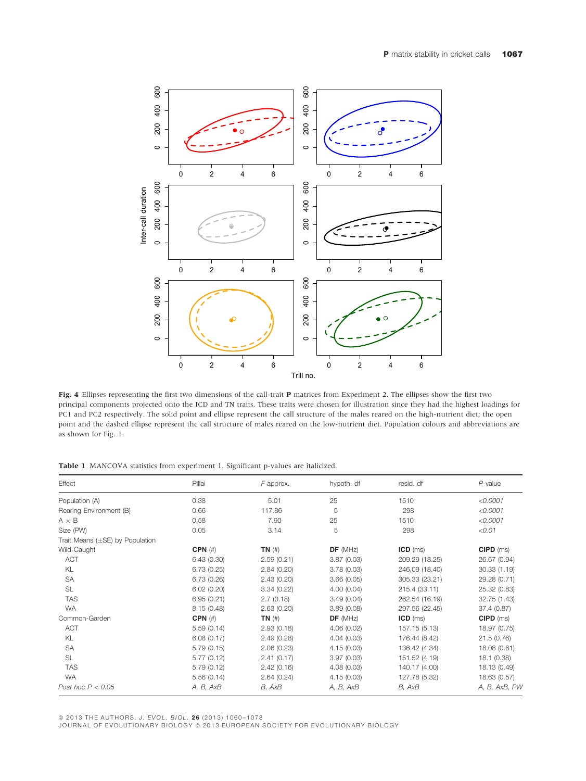

Fig. 4 Ellipses representing the first two dimensions of the call-trait P matrices from Experiment 2. The ellipses show the first two principal components projected onto the ICD and TN traits. These traits were chosen for illustration since they had the highest loadings for PC1 and PC2 respectively. The solid point and ellipse represent the call structure of the males reared on the high-nutrient diet; the open point and the dashed ellipse represent the call structure of males reared on the low-nutrient diet. Population colours and abbreviations are as shown for Fig. 1.

Table 1 MANCOVA statistics from experiment 1. Significant p-values are italicized.

| Effect                               | Pillai       | F approx.   | hypoth. df | resid. df      | $P$ -value    |
|--------------------------------------|--------------|-------------|------------|----------------|---------------|
| Population (A)                       | 0.38         | 5.01        | 25         | 1510           | <0.0001       |
| Rearing Environment (B)              | 0.66         | 117.86      | 5          | 298            | < 0.0001      |
| $A \times B$                         | 0.58         | 7.90        | 25         | 1510           | < 0.0001      |
| Size (PW)                            | 0.05         | 3.14        | 5          | 298            | < 0.01        |
| Trait Means $(\pm$ SE) by Population |              |             |            |                |               |
| Wild-Caught                          | $CPN$ $(\#)$ | $TN$ $(\#)$ | DF(MHz)    | $ICD$ (ms)     | $CIPD$ (ms)   |
| <b>ACT</b>                           | 6.43(0.30)   | 2.59(0.21)  | 3.87(0.03) | 209.29 (18.25) | 26.67 (0.94)  |
| KL                                   | 6.73(0.25)   | 2.84(0.20)  | 3.78(0.03) | 246.09 (18.40) | 30.33(1.19)   |
| SA                                   | 6.73(0.26)   | 2.43(0.20)  | 3.66(0.05) | 305.33 (23.21) | 29.28 (0.71)  |
| SL                                   | 6.02(0.20)   | 3.34(0.22)  | 4.00(0.04) | 215.4 (33.11)  | 25.32 (0.83)  |
| <b>TAS</b>                           | 6.95(0.21)   | 2.7(0.18)   | 3.49(0.04) | 262.54 (16.19) | 32.75 (1.43)  |
| <b>WA</b>                            | 8.15(0.48)   | 2.63(0.20)  | 3.89(0.08) | 297.56 (22.45) | 37.4 (0.87)   |
| Common-Garden                        | $CPN$ $(\#)$ | $TN$ $(\#)$ | DF(MHz)    | $ICD$ (ms)     | $CIPD$ (ms)   |
| ACT                                  | 5.59(0.14)   | 2.93(0.18)  | 4.06(0.02) | 157.15 (5.13)  | 18.97 (0.75)  |
| KL                                   | 6.08(0.17)   | 2.49(0.28)  | 4.04(0.03) | 176.44 (8.42)  | 21.5(0.76)    |
| SA                                   | 5.79(0.15)   | 2.06(0.23)  | 4.15(0.03) | 136.42 (4.34)  | 18.08 (0.61)  |
| <b>SL</b>                            | 5.77(0.12)   | 2.41(0.17)  | 3.97(0.03) | 151.52 (4.19)  | 18.1 (0.38)   |
| <b>TAS</b>                           | 5.79(0.12)   | 2.42(0.16)  | 4.08(0.03) | 140.17 (4.00)  | 18.13 (0.49)  |
| <b>WA</b>                            | 5.56(0.14)   | 2.64(0.24)  | 4.15(0.03) | 127.78 (5.32)  | 18.63 (0.57)  |
| Post hoc $P < 0.05$                  | A, B, AxB    | B, AxB      | A, B, AxB  | B, AxB         | A, B, AxB, PW |

© 2013 THE AUTHORS. J. EVOL. BIOL. 26 (2013) 1060-1078

JOURNAL OF EVOLUTIONARY BIOLOGY © 2013 EUROPEAN SOCIETY FOR EVOLUTIONARY BIOLOGY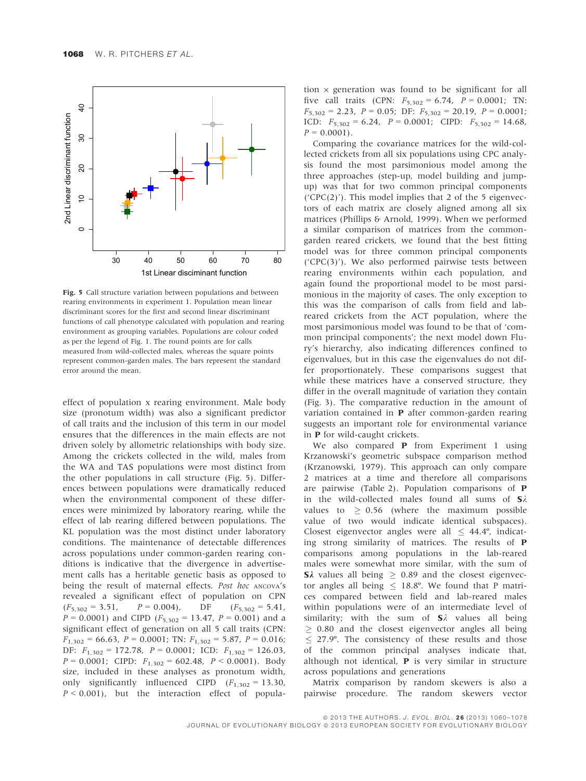

Fig. 5 Call structure variation between populations and between rearing environments in experiment 1. Population mean linear discriminant scores for the first and second linear discriminant functions of call phenotype calculated with population and rearing environment as grouping variables. Populations are colour coded as per the legend of Fig. 1. The round points are for calls measured from wild-collected males, whereas the square points represent common-garden males. The bars represent the standard error around the mean.

effect of population x rearing environment. Male body size (pronotum width) was also a significant predictor of call traits and the inclusion of this term in our model ensures that the differences in the main effects are not driven solely by allometric relationships with body size. Among the crickets collected in the wild, males from the WA and TAS populations were most distinct from the other populations in call structure (Fig. 5). Differences between populations were dramatically reduced when the environmental component of these differences were minimized by laboratory rearing, while the effect of lab rearing differed between populations. The KL population was the most distinct under laboratory conditions. The maintenance of detectable differences across populations under common-garden rearing conditions is indicative that the divergence in advertisement calls has a heritable genetic basis as opposed to being the result of maternal effects. Post hoc ANCOVA's revealed a significant effect of population on CPN  $(F_{5,302} = 3.51,$   $P = 0.004$ ,  $DF$   $(F_{5,302} = 5.41,$  $P = 0.0001$ ) and CIPD ( $F_{5,302} = 13.47$ ,  $P = 0.001$ ) and a significant effect of generation on all 5 call traits (CPN:  $F_{1,302} = 66.63, P = 0.0001;$  TN:  $F_{1,302} = 5.87, P = 0.016;$ DF:  $F_{1,302} = 172.78$ ,  $P = 0.0001$ ; ICD:  $F_{1,302} = 126.03$ ,  $P = 0.0001$ ; CIPD:  $F_{1,302} = 602.48$ ,  $P < 0.0001$ ). Body size, included in these analyses as pronotum width, only significantly influenced CIPD  $(F_{1,302} = 13.30)$ ,  $P < 0.001$ ), but the interaction effect of population  $\times$  generation was found to be significant for all five call traits (CPN:  $F_{5,302} = 6.74$ ,  $P = 0.0001$ ; TN:  $F_{5,302} = 2.23$ ,  $P = 0.05$ ; DF:  $F_{5,302} = 20.19$ ,  $P = 0.0001$ ; ICD:  $F_{5,302} = 6.24$ ,  $P = 0.0001$ ; CIPD:  $F_{5,302} = 14.68$ ,  $P = 0.0001$ .

Comparing the covariance matrices for the wild-collected crickets from all six populations using CPC analysis found the most parsimonious model among the three approaches (step-up, model building and jumpup) was that for two common principal components ( $CPC(2)$ ). This model implies that 2 of the 5 eigenvectors of each matrix are closely aligned among all six matrices (Phillips & Arnold, 1999). When we performed a similar comparison of matrices from the commongarden reared crickets, we found that the best fitting model was for three common principal components ('CPC(3)'). We also performed pairwise tests between rearing environments within each population, and again found the proportional model to be most parsimonious in the majority of cases. The only exception to this was the comparison of calls from field and labreared crickets from the ACT population, where the most parsimonious model was found to be that of 'common principal components'; the next model down Flury's hierarchy, also indicating differences confined to eigenvalues, but in this case the eigenvalues do not differ proportionately. These comparisons suggest that while these matrices have a conserved structure, they differ in the overall magnitude of variation they contain (Fig. 3). The comparative reduction in the amount of variation contained in P after common-garden rearing suggests an important role for environmental variance in P for wild-caught crickets.

We also compared **P** from Experiment 1 using Krzanowski's geometric subspace comparison method (Krzanowski, 1979). This approach can only compare 2 matrices at a time and therefore all comparisons are pairwise (Table 2). Population comparisons of P in the wild-collected males found all sums of  $S\lambda$ values to  $> 0.56$  (where the maximum possible value of two would indicate identical subspaces). Closest eigenvector angles were all  $\leq$  44.4°, indicating strong similarity of matrices. The results of P comparisons among populations in the lab-reared males were somewhat more similar, with the sum of **S** $\lambda$  values all being  $\geq 0.89$  and the closest eigenvector angles all being  $\leq 18.8^{\circ}$ . We found that P matrices compared between field and lab-reared males within populations were of an intermediate level of similarity; with the sum of  $S\lambda$  values all being  $\geq$  0.80 and the closest eigenvector angles all being  $\leq$  27.9°. The consistency of these results and those of the common principal analyses indicate that, although not identical, P is very similar in structure across populations and generations

Matrix comparison by random skewers is also a pairwise procedure. The random skewers vector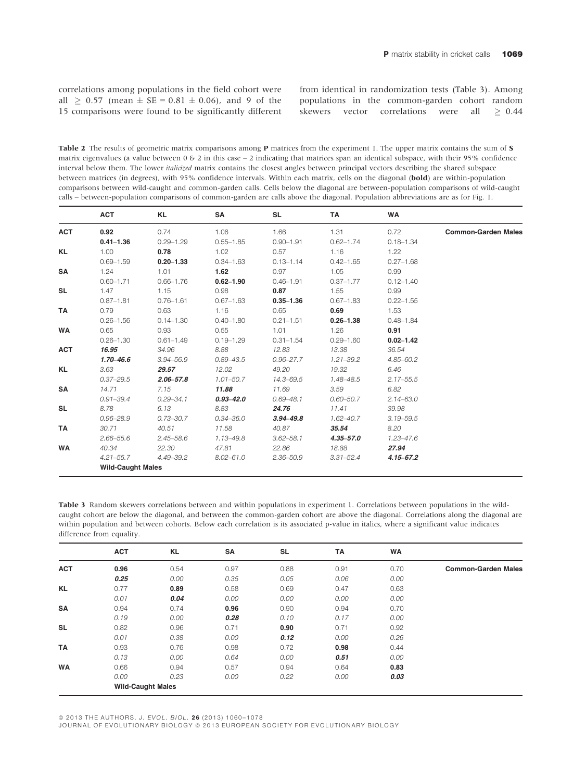correlations among populations in the field cohort were all  $\geq 0.57$  (mean  $\pm$  SE = 0.81  $\pm$  0.06), and 9 of the 15 comparisons were found to be significantly different from identical in randomization tests (Table 3). Among populations in the common-garden cohort random skewers vector correlations were all  $\geq 0.44$ 

Table 2 The results of geometric matrix comparisons among **P** matrices from the experiment 1. The upper matrix contains the sum of S matrix eigenvalues (a value between  $0 \& 2$  in this case  $-2$  indicating that matrices span an identical subspace, with their 95% confidence interval below them. The lower italicized matrix contains the closest angles between principal vectors describing the shared subspace between matrices (in degrees), with 95% confidence intervals. Within each matrix, cells on the diagonal (**bold**) are within-population comparisons between wild-caught and common-garden calls. Cells below the diagonal are between-population comparisons of wild-caught calls – between-population comparisons of common-garden are calls above the diagonal. Population abbreviations are as for Fig. 1.

|            | <b>ACT</b>               | KL            | SA            | <b>SL</b>     | TA            | <b>WA</b>     |                            |
|------------|--------------------------|---------------|---------------|---------------|---------------|---------------|----------------------------|
| <b>ACT</b> | 0.92                     | 0.74          | 1.06          | 1.66          | 1.31          | 0.72          | <b>Common-Garden Males</b> |
|            | $0.41 - 1.36$            | $0.29 - 1.29$ | $0.55 - 1.85$ | $0.90 - 1.91$ | $0.62 - 1.74$ | $0.18 - 1.34$ |                            |
| <b>KL</b>  | 1.00                     | 0.78          | 1.02          | 0.57          | 1.16          | 1.22          |                            |
|            | $0.69 - 1.59$            | $0.20 - 1.33$ | $0.34 - 1.63$ | $0.13 - 1.14$ | $0.42 - 1.65$ | $0.27 - 1.68$ |                            |
| SA         | 1.24                     | 1.01          | 1.62          | 0.97          | 1.05          | 0.99          |                            |
|            | $0.60 - 1.71$            | $0.66 - 1.76$ | $0.62 - 1.90$ | $0.46 - 1.91$ | $0.37 - 1.77$ | $0.12 - 1.40$ |                            |
| <b>SL</b>  | 1.47                     | 1.15          | 0.98          | 0.87          | 1.55          | 0.99          |                            |
|            | $0.87 - 1.81$            | $0.76 - 1.61$ | $0.67 - 1.63$ | $0.35 - 1.36$ | $0.67 - 1.83$ | $0.22 - 1.55$ |                            |
| <b>TA</b>  | 0.79                     | 0.63          | 1.16          | 0.65          | 0.69          | 1.53          |                            |
|            | $0.26 - 1.56$            | $0.14 - 1.30$ | $0.40 - 1.80$ | $0.21 - 1.51$ | $0.26 - 1.38$ | $0.48 - 1.84$ |                            |
| WA         | 0.65                     | 0.93          | 0.55          | 1.01          | 1.26          | 0.91          |                            |
|            | $0.26 - 1.30$            | $0.61 - 1.49$ | $0.19 - 1.29$ | $0.31 - 1.54$ | $0.29 - 1.60$ | $0.02 - 1.42$ |                            |
| <b>ACT</b> | 16.95                    | 34.96         | 8.88          | 12.83         | 13.38         | 36.54         |                            |
|            | $1.70 - 46.6$            | $3.94 - 56.9$ | $0.89 - 43.5$ | $0.96 - 27.7$ | $1.21 - 39.2$ | $4.85 - 60.2$ |                            |
| KL         | 3.63                     | 29.57         | 12.02         | 49.20         | 19.32         | 6.46          |                            |
|            | $0.37 - 29.5$            | $2.06 - 57.8$ | $1.01 - 50.7$ | $14.3 - 69.5$ | 1.48-48.5     | $2.17 - 55.5$ |                            |
| <b>SA</b>  | 14.71                    | 7.15          | 11.88         | 11.69         | 3.59          | 6.82          |                            |
|            | $0.91 - 39.4$            | $0.29 - 34.1$ | $0.93 - 42.0$ | $0.69 - 48.1$ | $0.60 - 50.7$ | $2.14 - 63.0$ |                            |
| <b>SL</b>  | 8.78                     | 6.13          | 8.83          | 24.76         | 11.41         | 39.98         |                            |
|            | $0.96 - 28.9$            | $0.73 - 30.7$ | $0.34 - 36.0$ | $3.94 - 49.8$ | $1.62 - 40.7$ | $3.19 - 59.5$ |                            |
| <b>TA</b>  | 30.71                    | 40.51         | 11.58         | 40.87         | 35.54         | 8.20          |                            |
|            | $2.66 - 55.6$            | $2.45 - 58.6$ | 1.13-49.8     | $3.62 - 58.1$ | $4.35 - 57.0$ | $1.23 - 47.6$ |                            |
| <b>WA</b>  | 40.34                    | 22.30         | 47.81         | 22.86         | 18.88         | 27.94         |                            |
|            | $4.21 - 55.7$            | $4.49 - 39.2$ | $8.02 - 61.0$ | $2.36 - 50.9$ | $3.31 - 52.4$ | $4.15 - 67.2$ |                            |
|            | <b>Wild-Caught Males</b> |               |               |               |               |               |                            |

Table 3 Random skewers correlations between and within populations in experiment 1. Correlations between populations in the wildcaught cohort are below the diagonal, and between the common-garden cohort are above the diagonal. Correlations along the diagonal are within population and between cohorts. Below each correlation is its associated p-value in italics, where a significant value indicates difference from equality.

|            | <b>ACT</b>               | KL   | <b>SA</b> | <b>SL</b> | <b>TA</b> | <b>WA</b> |                            |
|------------|--------------------------|------|-----------|-----------|-----------|-----------|----------------------------|
| <b>ACT</b> | 0.96                     | 0.54 | 0.97      | 0.88      | 0.91      | 0.70      | <b>Common-Garden Males</b> |
|            | 0.25                     | 0.00 | 0.35      | 0.05      | 0.06      | 0.00      |                            |
| <b>KL</b>  | 0.77                     | 0.89 | 0.58      | 0.69      | 0.47      | 0.63      |                            |
|            | 0.01                     | 0.04 | 0.00      | 0.00      | 0.00      | 0.00      |                            |
| <b>SA</b>  | 0.94                     | 0.74 | 0.96      | 0.90      | 0.94      | 0.70      |                            |
|            | 0.19                     | 0.00 | 0.28      | 0.10      | 0.17      | 0.00      |                            |
| <b>SL</b>  | 0.82                     | 0.96 | 0.71      | 0.90      | 0.71      | 0.92      |                            |
|            | 0.01                     | 0.38 | 0.00      | 0.12      | 0.00      | 0.26      |                            |
| <b>TA</b>  | 0.93                     | 0.76 | 0.98      | 0.72      | 0.98      | 0.44      |                            |
|            | 0.13                     | 0.00 | 0.64      | 0.00      | 0.51      | 0.00      |                            |
| <b>WA</b>  | 0.66                     | 0.94 | 0.57      | 0.94      | 0.64      | 0.83      |                            |
|            | 0.00                     | 0.23 | 0.00      | 0.22      | 0.00      | 0.03      |                            |
|            | <b>Wild-Caught Males</b> |      |           |           |           |           |                            |

© 2013 THE AUTHORS. J. EVOL. BIOL. 26 (2013) 1060-1078

JOURNAL OF EVOLUTIONARY BIOLOGY @ 2013 EUROPEAN SOCIETY FOR EVOLUTIONARY BIOLOGY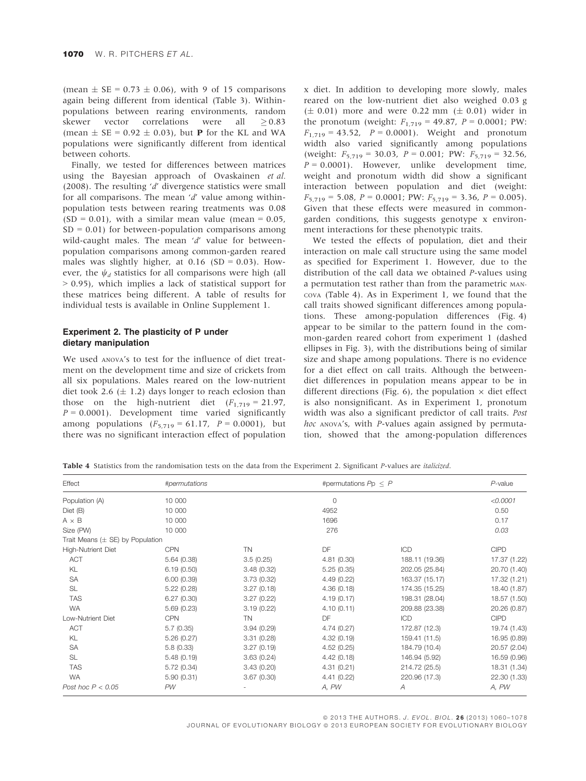(mean  $\pm$  SE = 0.73  $\pm$  0.06), with 9 of 15 comparisons again being different from identical (Table 3). Withinpopulations between rearing environments, random skewer vector correlations were all  $> 0.83$ (mean  $\pm$  SE = 0.92  $\pm$  0.03), but **P** for the KL and WA populations were significantly different from identical between cohorts.

Finally, we tested for differences between matrices using the Bayesian approach of Ovaskainen et al. (2008). The resulting 'd' divergence statistics were small for all comparisons. The mean  $'d'$  value among withinpopulation tests between rearing treatments was 0.08  $(SD = 0.01)$ , with a similar mean value (mean = 0.05,  $SD = 0.01$ ) for between-population comparisons among wild-caught males. The mean 'd' value for betweenpopulation comparisons among common-garden reared males was slightly higher, at  $0.16$  (SD = 0.03). However, the  $\psi_d$  statistics for all comparisons were high (all > 0.95), which implies a lack of statistical support for these matrices being different. A table of results for individual tests is available in Online Supplement 1.

#### Experiment 2. The plasticity of P under dietary manipulation

We used ANOVA's to test for the influence of diet treatment on the development time and size of crickets from all six populations. Males reared on the low-nutrient diet took 2.6  $(\pm 1.2)$  days longer to reach eclosion than those on the high-nutrient diet  $(F_{1,719} = 21.97)$ ,  $P = 0.0001$ ). Development time varied significantly among populations  $(F_{5,719} = 61.17, P = 0.0001)$ , but there was no significant interaction effect of population

x diet. In addition to developing more slowly, males reared on the low-nutrient diet also weighed 0.03 g  $(\pm 0.01)$  more and were 0.22 mm  $(\pm 0.01)$  wider in the pronotum (weight:  $F_{1,719} = 49.87$ ,  $P = 0.0001$ ; PW:  $F_{1,719} = 43.52$ ,  $P = 0.0001$ ). Weight and pronotum width also varied significantly among populations (weight:  $F_{5,719} = 30.03$ ,  $P = 0.001$ ; PW:  $F_{5,719} = 32.56$ ,  $P = 0.0001$ ). However, unlike development time, weight and pronotum width did show a significant interaction between population and diet (weight:  $F_{5,719} = 5.08$ ,  $P = 0.0001$ ; PW:  $F_{5,719} = 3.36$ ,  $P = 0.005$ ). Given that these effects were measured in commongarden conditions, this suggests genotype x environment interactions for these phenotypic traits.

We tested the effects of population, diet and their interaction on male call structure using the same model as specified for Experiment 1. However, due to the distribution of the call data we obtained P-values using a permutation test rather than from the parametric MAN-COVA (Table 4). As in Experiment 1, we found that the call traits showed significant differences among populations. These among-population differences (Fig. 4) appear to be similar to the pattern found in the common-garden reared cohort from experiment 1 (dashed ellipses in Fig. 3), with the distributions being of similar size and shape among populations. There is no evidence for a diet effect on call traits. Although the betweendiet differences in population means appear to be in different directions (Fig. 6), the population  $\times$  diet effect is also nonsignificant. As in Experiment 1, pronotum width was also a significant predictor of call traits. Post hoc ANOVA's, with P-values again assigned by permutation, showed that the among-population differences

Table 4 Statistics from the randomisation tests on the data from the Experiment 2. Significant P-values are *italicized*.

| Effect                               | #permutations |            | #permutations $Pp < P$ |                | $P$ -value   |
|--------------------------------------|---------------|------------|------------------------|----------------|--------------|
| Population (A)                       | 10 000        |            | 0                      |                | < 0.0001     |
| Dict (B)                             | 10 000        |            | 4952                   |                | 0.50         |
| $A \times B$                         | 10 000        |            | 1696                   |                | 0.17         |
| Size (PW)                            | 10 000        |            | 276                    |                | 0.03         |
| Trait Means $(\pm$ SE) by Population |               |            |                        |                |              |
| High-Nutrient Diet                   | <b>CPN</b>    | <b>TN</b>  | DF                     | ICD            | <b>CIPD</b>  |
| <b>ACT</b>                           | 5.64(0.38)    | 3.5(0.25)  | 4.81(0.30)             | 188.11 (19.36) | 17.37 (1.22) |
| KL                                   | 6.19(0.50)    | 3.48(0.32) | 5.25(0.35)             | 202.05 (25.84) | 20.70 (1.40) |
| <b>SA</b>                            | 6.00(0.39)    | 3.73(0.32) | 4.49(0.22)             | 163.37 (15.17) | 17.32 (1.21) |
| SL                                   | 5.22(0.28)    | 3.27(0.18) | 4.36(0.18)             | 174.35 (15.25) | 18.40 (1.87) |
| <b>TAS</b>                           | 6.27(0.30)    | 3.27(0.22) | 4.19(0.17)             | 198.31 (28.04) | 18.57 (1.50) |
| <b>WA</b>                            | 5.69(0.23)    | 3.19(0.22) | 4.10(0.11)             | 209.88 (23.38) | 20.26 (0.87) |
| Low-Nutrient Diet                    | <b>CPN</b>    | <b>TN</b>  | DF                     | ICD            | <b>CIPD</b>  |
| <b>ACT</b>                           | 5.7(0.35)     | 3.94(0.29) | 4.74(0.27)             | 172.87 (12.3)  | 19.74 (1.43) |
| KL                                   | 5.26(0.27)    | 3.31(0.28) | 4.32(0.19)             | 159.41 (11.5)  | 16.95 (0.89) |
| SA                                   | 5.8(0.33)     | 3.27(0.19) | 4.52(0.25)             | 184.79 (10.4)  | 20.57 (2.04) |
| SL                                   | 5.48(0.19)    | 3.63(0.24) | 4.42(0.18)             | 146.94 (5.92)  | 16.59 (0.96) |
| <b>TAS</b>                           | 5.72(0.34)    | 3.43(0.20) | 4.31(0.21)             | 214.72 (25.5)  | 18.31 (1.34) |
| <b>WA</b>                            | 5.90(0.31)    | 3.67(0.30) | 4.41(0.22)             | 220.96 (17.3)  | 22.30 (1.33) |
| Post hoc $P < 0.05$                  | <b>PW</b>     |            | A, PW                  | A              | A, PW        |

© 2013 THE AUTHORS. J. EVOL. BIOL. 26 (2013) 1060-1078 JOURNAL OF EVOLUTIONARY BIOLOGY @ 2013 EUROPEAN SOCIETY FOR EVOLUTIONARY BIOLOGY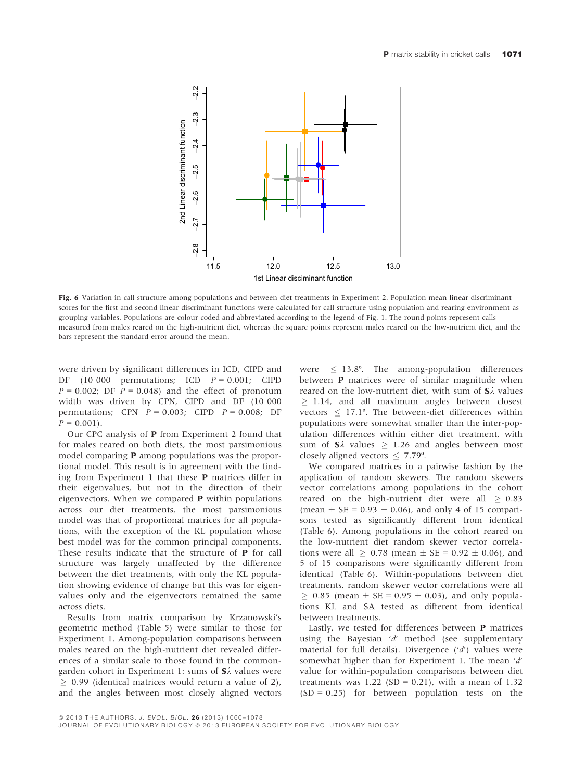

Fig. 6 Variation in call structure among populations and between diet treatments in Experiment 2. Population mean linear discriminant scores for the first and second linear discriminant functions were calculated for call structure using population and rearing environment as grouping variables. Populations are colour coded and abbreviated according to the legend of Fig. 1. The round points represent calls measured from males reared on the high-nutrient diet, whereas the square points represent males reared on the low-nutrient diet, and the bars represent the standard error around the mean.

were driven by significant differences in ICD, CIPD and DF (10 000 permutations; ICD  $P = 0.001$ ; CIPD  $P = 0.002$ ; DF  $P = 0.048$ ) and the effect of pronotum width was driven by CPN, CIPD and DF (10 000 permutations; CPN  $P = 0.003$ ; CIPD  $P = 0.008$ ; DF  $P = 0.001$ .

Our CPC analysis of P from Experiment 2 found that for males reared on both diets, the most parsimonious model comparing P among populations was the proportional model. This result is in agreement with the finding from Experiment 1 that these P matrices differ in their eigenvalues, but not in the direction of their eigenvectors. When we compared P within populations across our diet treatments, the most parsimonious model was that of proportional matrices for all populations, with the exception of the KL population whose best model was for the common principal components. These results indicate that the structure of P for call structure was largely unaffected by the difference between the diet treatments, with only the KL population showing evidence of change but this was for eigenvalues only and the eigenvectors remained the same across diets.

Results from matrix comparison by Krzanowski's geometric method (Table 5) were similar to those for Experiment 1. Among-population comparisons between males reared on the high-nutrient diet revealed differences of a similar scale to those found in the commongarden cohort in Experiment 1: sums of  $S\lambda$  values were  $\geq$  0.99 (identical matrices would return a value of 2), and the angles between most closely aligned vectors

were  $\leq$  13.8°. The among-population differences between P matrices were of similar magnitude when reared on the low-nutrient diet, with sum of  $S\lambda$  values  $\geq$  1.14, and all maximum angles between closest vectors  $\leq$  17.1°. The between-diet differences within populations were somewhat smaller than the inter-population differences within either diet treatment, with sum of  $S\lambda$  values  $> 1.26$  and angles between most closely aligned vectors  $\leq 7.79^{\circ}$ .

We compared matrices in a pairwise fashion by the application of random skewers. The random skewers vector correlations among populations in the cohort reared on the high-nutrient diet were all  $\geq 0.83$ (mean  $\pm$  SE = 0.93  $\pm$  0.06), and only 4 of 15 comparisons tested as significantly different from identical (Table 6). Among populations in the cohort reared on the low-nutrient diet random skewer vector correlations were all  $\geq 0.78$  (mean  $\pm$  SE = 0.92  $\pm$  0.06), and 5 of 15 comparisons were significantly different from identical (Table 6). Within-populations between diet treatments, random skewer vector correlations were all  $> 0.85$  (mean  $\pm$  SE = 0.95  $\pm$  0.03), and only populations KL and SA tested as different from identical between treatments.

Lastly, we tested for differences between P matrices using the Bayesian 'd' method (see supplementary material for full details). Divergence  $(d')$  values were somewhat higher than for Experiment 1. The mean 'd' value for within-population comparisons between diet treatments was  $1.22$  (SD = 0.21), with a mean of 1.32  $(SD = 0.25)$  for between population tests on the

JOURNAL OF EVOLUTIONARY BIOLOGY @ 2013 EUROPEAN SOCIETY FOR EVOLUTIONARY BIOLOGY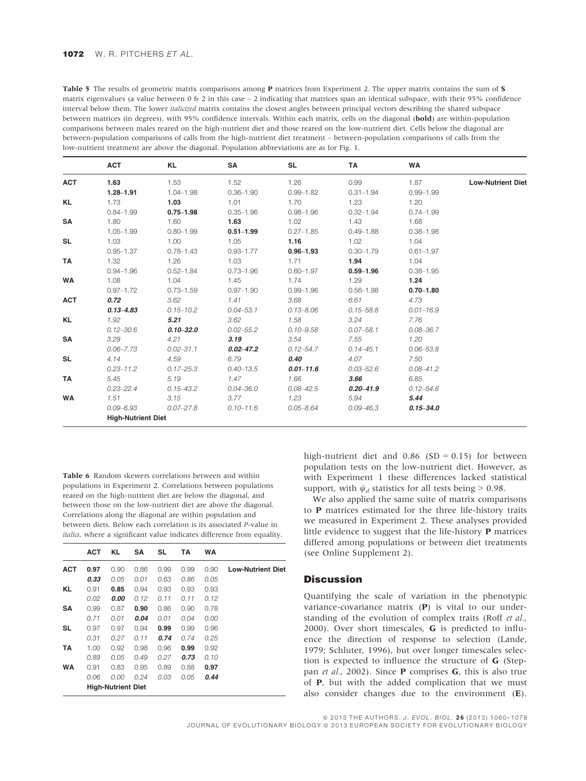| Table 5 The results of geometric matrix comparisons among <b>P</b> matrices from Experiment 2. The upper matrix contains the sum of <b>S</b>  |
|-----------------------------------------------------------------------------------------------------------------------------------------------|
| matrix eigenvalues (a value between $0 \& 2$ in this case $-2$ indicating that matrices span an identical subspace, with their 95% confidence |
| interval below them. The lower <i>italicized</i> matrix contains the closest angles between principal vectors describing the shared subspace  |
| between matrices (in degrees), with 95% confidence intervals. Within each matrix, cells on the diagonal ( <b>bold</b> ) are within-population |
| comparisons between males reared on the high-nutrient diet and those reared on the low-nutrient diet. Cells below the diagonal are            |
| between-population comparisons of calls from the high-nutrient diet treatment – between-population comparisons of calls from the              |
| low-nutrient treatment are above the diagonal. Population abbreviations are as for Fig. 1.                                                    |
|                                                                                                                                               |

|            | 1.63                      |               |               |               |               |               |                          |
|------------|---------------------------|---------------|---------------|---------------|---------------|---------------|--------------------------|
| <b>ACT</b> |                           | 1.53          | 1.52          | 1.26          | 0.99          | 1.87          | <b>Low-Nutrient Diet</b> |
|            | $1.28 - 1.91$             | 1.04-1.98     | $0.36 - 1.90$ | $0.99 - 1.82$ | $0.31 - 1.94$ | $0.99 - 1.99$ |                          |
| <b>KL</b>  | 1.73                      | 1.03          | 1.01          | 1.70          | 1.23          | 1.20          |                          |
|            | $0.84 - 1.99$             | $0.75 - 1.98$ | $0.35 - 1.96$ | $0.98 - 1.96$ | $0.32 - 1.94$ | $0.74 - 1.99$ |                          |
| <b>SA</b>  | 1.80                      | 1.60          | 1.63          | 1.02          | 1.43          | 1.68          |                          |
|            | $1.05 - 1.99$             | $0.80 - 1.99$ | $0.51 - 1.99$ | $0.27 - 1.85$ | $0.49 - 1.88$ | $0.38 - 1.98$ |                          |
| SL         | 1.03                      | 1.00          | 1.05          | 1.16          | 1.02          | 1.04          |                          |
|            | $0.95 - 1.37$             | $0.78 - 1.43$ | $0.93 - 1.77$ | $0.96 - 1.93$ | $0.30 - 1.79$ | $0.61 - 1.97$ |                          |
| TA         | 1.32                      | 1.26          | 1.03          | 1.71          | 1.94          | 1.04          |                          |
|            | $0.94 - 1.96$             | $0.52 - 1.84$ | $0.73 - 1.96$ | $0.60 - 1.97$ | $0.59 - 1.96$ | $0.38 - 1.95$ |                          |
| <b>WA</b>  | 1.08                      | 1.04          | 1.45          | 1.74          | 1.29          | 1.24          |                          |
|            | $0.97 - 1.72$             | $0.73 - 1.59$ | $0.97 - 1.90$ | $0.99 - 1.96$ | $0.56 - 1.98$ | $0.70 - 1.80$ |                          |
| <b>ACT</b> | 0.72                      | 3.62          | 1.41          | 3.68          | 6.61          | 4.73          |                          |
|            | $0.13 - 4.83$             | $0.15 - 10.2$ | $0.04 - 53.1$ | $0.13 - 8.06$ | $0.15 - 58.8$ | $0.01 - 16.9$ |                          |
| KL         | 1.92                      | 5.21          | 3.62          | 1.58          | 3.24          | 7.76          |                          |
|            | $0.12 - 30.6$             | $0.10 - 32.0$ | $0.02 - 55.2$ | $0.10 - 9.58$ | $0.07 - 58.1$ | $0.08 - 36.7$ |                          |
| <b>SA</b>  | 3.29                      | 4.21          | 3.19          | 3.54          | 7.55          | 1.20          |                          |
|            | $0.06 - 7.73$             | $0.02 - 31.1$ | $0.02 - 47.2$ | $0.12 - 54.7$ | $0.14 - 45.1$ | $0.06 - 53.8$ |                          |
| <b>SL</b>  | 4.14                      | 4.59          | 6.79          | 0.40          | 4.07          | 7.50          |                          |
|            | $0.23 - 11.2$             | $0.17 - 25.3$ | $0.40 - 13.5$ | $0.01 - 11.6$ | $0.03 - 52.6$ | $0.08 - 41.2$ |                          |
| TA         | 5.45                      | 5.19          | 1.47          | 1.66          | 3.66          | 6.85          |                          |
|            | $0.23 - 22.4$             | $0.15 - 43.2$ | $0.04 - 36.0$ | $0.08 - 42.5$ | $0.20 - 41.9$ | $0.12 - 54.6$ |                          |
| <b>WA</b>  | 1.51                      | 3.15          | 3.77          | 1.23          | 5.94          | 5.44          |                          |
|            | $0.09 - 6.93$             | $0.07 - 27.8$ | $0.10 - 11.6$ | $0.05 - 8.64$ | $0.09 - 46.3$ | $0.15 - 34.0$ |                          |
|            | <b>High-Nutrient Diet</b> |               |               |               |               |               |                          |

Table 6 Random skewers correlations between and within populations in Experiment 2. Correlations between populations reared on the high-nutrient diet are below the diagonal, and between those on the low-nutrient diet are above the diagonal. Correlations along the diagonal are within population and between diets. Below each correlation is its associated P-value in italics, where a significant value indicates difference from equality.

|            | <b>ACT</b> | KL                        | SΑ   | <b>SL</b> | ΤА   | WA   |                          |
|------------|------------|---------------------------|------|-----------|------|------|--------------------------|
| <b>ACT</b> | 0.97       | 0.90                      | 0.86 | 0.99      | 0.99 | 0.90 | <b>Low-Nutrient Diet</b> |
|            | 0.33       | 0.05                      | 0.01 | 0.63      | 0.86 | 0.05 |                          |
| KL         | 0.91       | 0.85                      | 0.94 | 0.93      | 0.93 | 0.93 |                          |
|            | 0.02       | 0.00                      | 0.12 | 0.11      | 0.11 | 0.12 |                          |
| SΑ         | 0.99       | 0.87                      | 0.90 | 0.86      | 0.90 | 0.78 |                          |
|            | 0.71       | 0.01                      | 0.04 | 0.01      | 0.04 | 0.00 |                          |
| SL         | 0.97       | 0.97                      | 0.94 | 0.99      | 0.99 | 0.96 |                          |
|            | 0.31       | 0.27                      | 0.11 | 0.74      | 0.74 | 0.25 |                          |
| TA         | 1.00       | 0.92                      | 0.98 | 0.96      | 0.99 | 0.92 |                          |
|            | 0.89       | 0.05                      | 0.49 | 0.27      | 0.73 | 0.10 |                          |
| WA         | 0.91       | 0.83                      | 0.95 | 0.89      | 0.88 | 0.97 |                          |
|            | 0.06       | 0.00                      | 0.24 | 0.03      | 0.05 | 0.44 |                          |
|            |            | <b>High-Nutrient Diet</b> |      |           |      |      |                          |

high-nutrient diet and  $0.86$  (SD = 0.15) for between population tests on the low-nutrient diet. However, as with Experiment 1 these differences lacked statistical support, with  $\psi_d$  statistics for all tests being > 0.98.

We also applied the same suite of matrix comparisons to P matrices estimated for the three life-history traits we measured in Experiment 2. These analyses provided little evidence to suggest that the life-history P matrices differed among populations or between diet treatments (see Online Supplement 2).

# **Discussion**

Quantifying the scale of variation in the phenotypic variance-covariance matrix (P) is vital to our understanding of the evolution of complex traits (Roff et al., 2000). Over short timescales, G is predicted to influence the direction of response to selection (Lande, 1979; Schluter, 1996), but over longer timescales selection is expected to influence the structure of G (Steppan *et al.*, 2002). Since **P** comprises **G**, this is also true of P, but with the added complication that we must also consider changes due to the environment (E).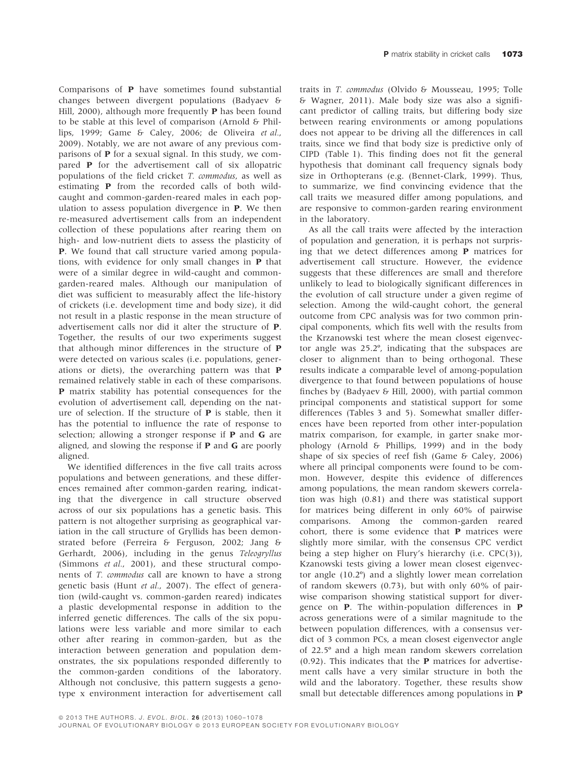Comparisons of P have sometimes found substantial changes between divergent populations (Badyaev & Hill, 2000), although more frequently P has been found to be stable at this level of comparison (Arnold & Phillips, 1999; Game & Caley, 2006; de Oliveira et al., 2009). Notably, we are not aware of any previous comparisons of P for a sexual signal. In this study, we compared P for the advertisement call of six allopatric populations of the field cricket T. commodus, as well as estimating P from the recorded calls of both wildcaught and common-garden-reared males in each population to assess population divergence in P. We then re-measured advertisement calls from an independent collection of these populations after rearing them on high- and low-nutrient diets to assess the plasticity of P. We found that call structure varied among populations, with evidence for only small changes in P that were of a similar degree in wild-caught and commongarden-reared males. Although our manipulation of diet was sufficient to measurably affect the life-history of crickets (i.e. development time and body size), it did not result in a plastic response in the mean structure of advertisement calls nor did it alter the structure of P. Together, the results of our two experiments suggest that although minor differences in the structure of P were detected on various scales (i.e. populations, generations or diets), the overarching pattern was that P remained relatively stable in each of these comparisons. P matrix stability has potential consequences for the evolution of advertisement call, depending on the nature of selection. If the structure of P is stable, then it has the potential to influence the rate of response to selection; allowing a stronger response if P and G are aligned, and slowing the response if  $P$  and  $G$  are poorly aligned.

We identified differences in the five call traits across populations and between generations, and these differences remained after common-garden rearing, indicating that the divergence in call structure observed across of our six populations has a genetic basis. This pattern is not altogether surprising as geographical variation in the call structure of Gryllids has been demonstrated before (Ferreira & Ferguson, 2002; Jang & Gerhardt, 2006), including in the genus Teleogryllus (Simmons et al., 2001), and these structural components of T. commodus call are known to have a strong genetic basis (Hunt et al., 2007). The effect of generation (wild-caught vs. common-garden reared) indicates a plastic developmental response in addition to the inferred genetic differences. The calls of the six populations were less variable and more similar to each other after rearing in common-garden, but as the interaction between generation and population demonstrates, the six populations responded differently to the common-garden conditions of the laboratory. Although not conclusive, this pattern suggests a genotype x environment interaction for advertisement call

traits in T. commodus (Olvido & Mousseau, 1995; Tolle & Wagner, 2011). Male body size was also a significant predictor of calling traits, but differing body size between rearing environments or among populations does not appear to be driving all the differences in call traits, since we find that body size is predictive only of CIPD (Table 1). This finding does not fit the general hypothesis that dominant call frequency signals body size in Orthopterans (e.g. (Bennet-Clark, 1999). Thus, to summarize, we find convincing evidence that the call traits we measured differ among populations, and are responsive to common-garden rearing environment in the laboratory.

As all the call traits were affected by the interaction of population and generation, it is perhaps not surprising that we detect differences among P matrices for advertisement call structure. However, the evidence suggests that these differences are small and therefore unlikely to lead to biologically significant differences in the evolution of call structure under a given regime of selection. Among the wild-caught cohort, the general outcome from CPC analysis was for two common principal components, which fits well with the results from the Krzanowski test where the mean closest eigenvector angle was 25.2º, indicating that the subspaces are closer to alignment than to being orthogonal. These results indicate a comparable level of among-population divergence to that found between populations of house finches by (Badyaev & Hill, 2000), with partial common principal components and statistical support for some differences (Tables 3 and 5). Somewhat smaller differences have been reported from other inter-population matrix comparison, for example, in garter snake morphology (Arnold & Phillips, 1999) and in the body shape of six species of reef fish (Game & Caley, 2006) where all principal components were found to be common. However, despite this evidence of differences among populations, the mean random skewers correlation was high (0.81) and there was statistical support for matrices being different in only 60% of pairwise comparisons. Among the common-garden reared cohort, there is some evidence that P matrices were slightly more similar, with the consensus CPC verdict being a step higher on Flury's hierarchy (i.e. CPC(3)), Kzanowski tests giving a lower mean closest eigenvector angle (10.2º) and a slightly lower mean correlation of random skewers (0.73), but with only 60% of pairwise comparison showing statistical support for divergence on P. The within-population differences in P across generations were of a similar magnitude to the between population differences, with a consensus verdict of 3 common PCs, a mean closest eigenvector angle of 22.5º and a high mean random skewers correlation  $(0.92)$ . This indicates that the **P** matrices for advertisement calls have a very similar structure in both the wild and the laboratory. Together, these results show small but detectable differences among populations in P

JOURNAL OF EVOLUTIONARY BIOLOGY @ 2013 EUROPEAN SOCIETY FOR EVOLUTIONARY BIOLOGY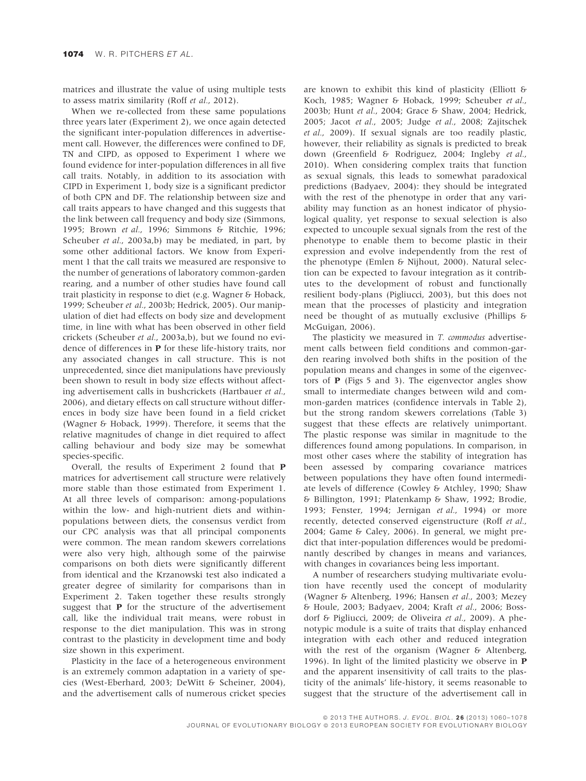matrices and illustrate the value of using multiple tests to assess matrix similarity (Roff et al., 2012).

When we re-collected from these same populations three years later (Experiment 2), we once again detected the significant inter-population differences in advertisement call. However, the differences were confined to DF, TN and CIPD, as opposed to Experiment 1 where we found evidence for inter-population differences in all five call traits. Notably, in addition to its association with CIPD in Experiment 1, body size is a significant predictor of both CPN and DF. The relationship between size and call traits appears to have changed and this suggests that the link between call frequency and body size (Simmons, 1995; Brown et al., 1996; Simmons & Ritchie, 1996; Scheuber et al., 2003a,b) may be mediated, in part, by some other additional factors. We know from Experiment 1 that the call traits we measured are responsive to the number of generations of laboratory common-garden rearing, and a number of other studies have found call trait plasticity in response to diet (e.g. Wagner & Hoback, 1999; Scheuber et al., 2003b; Hedrick, 2005). Our manipulation of diet had effects on body size and development time, in line with what has been observed in other field crickets (Scheuber et al., 2003a,b), but we found no evidence of differences in P for these life-history traits, nor any associated changes in call structure. This is not unprecedented, since diet manipulations have previously been shown to result in body size effects without affecting advertisement calls in bushcrickets (Hartbauer et al., 2006), and dietary effects on call structure without differences in body size have been found in a field cricket (Wagner & Hoback, 1999). Therefore, it seems that the relative magnitudes of change in diet required to affect calling behaviour and body size may be somewhat species-specific.

Overall, the results of Experiment 2 found that P matrices for advertisement call structure were relatively more stable than those estimated from Experiment 1. At all three levels of comparison: among-populations within the low- and high-nutrient diets and withinpopulations between diets, the consensus verdict from our CPC analysis was that all principal components were common. The mean random skewers correlations were also very high, although some of the pairwise comparisons on both diets were significantly different from identical and the Krzanowski test also indicated a greater degree of similarity for comparisons than in Experiment 2. Taken together these results strongly suggest that P for the structure of the advertisement call, like the individual trait means, were robust in response to the diet manipulation. This was in strong contrast to the plasticity in development time and body size shown in this experiment.

Plasticity in the face of a heterogeneous environment is an extremely common adaptation in a variety of species (West-Eberhard, 2003; DeWitt & Scheiner, 2004), and the advertisement calls of numerous cricket species

are known to exhibit this kind of plasticity (Elliott & Koch, 1985; Wagner & Hoback, 1999; Scheuber et al., 2003b; Hunt et al., 2004; Grace & Shaw, 2004; Hedrick, 2005; Jacot et al., 2005; Judge et al., 2008; Zajitschek et al., 2009). If sexual signals are too readily plastic, however, their reliability as signals is predicted to break down (Greenfield & Rodriguez, 2004; Ingleby et al., 2010). When considering complex traits that function as sexual signals, this leads to somewhat paradoxical predictions (Badyaev, 2004): they should be integrated with the rest of the phenotype in order that any variability may function as an honest indicator of physiological quality, yet response to sexual selection is also expected to uncouple sexual signals from the rest of the phenotype to enable them to become plastic in their expression and evolve independently from the rest of the phenotype (Emlen & Nijhout, 2000). Natural selection can be expected to favour integration as it contributes to the development of robust and functionally resilient body-plans (Pigliucci, 2003), but this does not mean that the processes of plasticity and integration need be thought of as mutually exclusive (Phillips & McGuigan, 2006).

The plasticity we measured in T. commodus advertisement calls between field conditions and common-garden rearing involved both shifts in the position of the population means and changes in some of the eigenvectors of P (Figs 5 and 3). The eigenvector angles show small to intermediate changes between wild and common-garden matrices (confidence intervals in Table 2), but the strong random skewers correlations (Table 3) suggest that these effects are relatively unimportant. The plastic response was similar in magnitude to the differences found among populations. In comparison, in most other cases where the stability of integration has been assessed by comparing covariance matrices between populations they have often found intermediate levels of difference (Cowley & Atchley, 1990; Shaw & Billington, 1991; Platenkamp & Shaw, 1992; Brodie, 1993; Fenster, 1994; Jernigan et al., 1994) or more recently, detected conserved eigenstructure (Roff et al., 2004; Game & Caley, 2006). In general, we might predict that inter-population differences would be predominantly described by changes in means and variances, with changes in covariances being less important.

A number of researchers studying multivariate evolution have recently used the concept of modularity (Wagner & Altenberg, 1996; Hansen et al., 2003; Mezey & Houle, 2003; Badyaev, 2004; Kraft et al., 2006; Bossdorf & Pigliucci, 2009; de Oliveira et al., 2009). A phenotypic module is a suite of traits that display enhanced integration with each other and reduced integration with the rest of the organism (Wagner & Altenberg, 1996). In light of the limited plasticity we observe in P and the apparent insensitivity of call traits to the plasticity of the animals' life-history, it seems reasonable to suggest that the structure of the advertisement call in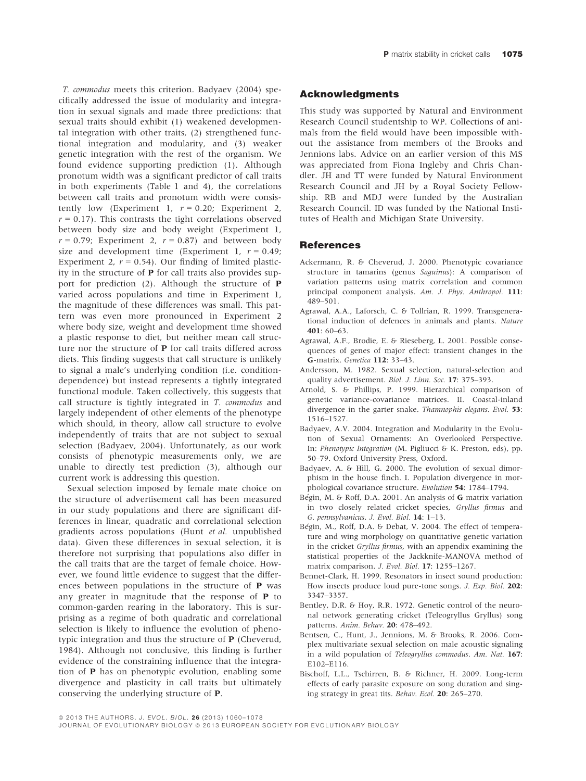T. commodus meets this criterion. Badyaev (2004) specifically addressed the issue of modularity and integration in sexual signals and made three predictions: that sexual traits should exhibit (1) weakened developmental integration with other traits, (2) strengthened functional integration and modularity, and (3) weaker genetic integration with the rest of the organism. We found evidence supporting prediction (1). Although pronotum width was a significant predictor of call traits in both experiments (Table 1 and 4), the correlations between call traits and pronotum width were consistently low (Experiment 1,  $r = 0.20$ ; Experiment 2,  $r = 0.17$ ). This contrasts the tight correlations observed between body size and body weight (Experiment 1,  $r = 0.79$ ; Experiment 2,  $r = 0.87$ ) and between body size and development time (Experiment 1,  $r = 0.49$ ; Experiment 2,  $r = 0.54$ ). Our finding of limited plasticity in the structure of P for call traits also provides support for prediction (2). Although the structure of P varied across populations and time in Experiment 1, the magnitude of these differences was small. This pattern was even more pronounced in Experiment 2 where body size, weight and development time showed a plastic response to diet, but neither mean call structure nor the structure of P for call traits differed across diets. This finding suggests that call structure is unlikely to signal a male's underlying condition (i.e. conditiondependence) but instead represents a tightly integrated functional module. Taken collectively, this suggests that call structure is tightly integrated in T. commodus and largely independent of other elements of the phenotype which should, in theory, allow call structure to evolve independently of traits that are not subject to sexual selection (Badyaev, 2004). Unfortunately, as our work consists of phenotypic measurements only, we are unable to directly test prediction (3), although our current work is addressing this question.

Sexual selection imposed by female mate choice on the structure of advertisement call has been measured in our study populations and there are significant differences in linear, quadratic and correlational selection gradients across populations (Hunt et al. unpublished data). Given these differences in sexual selection, it is therefore not surprising that populations also differ in the call traits that are the target of female choice. However, we found little evidence to suggest that the differences between populations in the structure of P was any greater in magnitude that the response of P to common-garden rearing in the laboratory. This is surprising as a regime of both quadratic and correlational selection is likely to influence the evolution of phenotypic integration and thus the structure of P (Cheverud, 1984). Although not conclusive, this finding is further evidence of the constraining influence that the integration of P has on phenotypic evolution, enabling some divergence and plasticity in call traits but ultimately conserving the underlying structure of P.

#### Acknowledgments

This study was supported by Natural and Environment Research Council studentship to WP. Collections of animals from the field would have been impossible without the assistance from members of the Brooks and Jennions labs. Advice on an earlier version of this MS was appreciated from Fiona Ingleby and Chris Chandler. JH and TT were funded by Natural Environment Research Council and JH by a Royal Society Fellowship. RB and MDJ were funded by the Australian Research Council. ID was funded by the National Institutes of Health and Michigan State University.

#### **References**

- Ackermann, R. & Cheverud, J. 2000. Phenotypic covariance structure in tamarins (genus Saguinus): A comparison of variation patterns using matrix correlation and common principal component analysis. Am. J. Phys. Anthropol. 111: 489–501.
- Agrawal, A.A., Laforsch, C. & Tollrian, R. 1999. Transgenerational induction of defences in animals and plants. Nature  $401:60-63$
- Agrawal, A.F., Brodie, E. & Rieseberg, L. 2001. Possible consequences of genes of major effect: transient changes in the G-matrix. Genetica 112: 33–43.
- Andersson, M. 1982. Sexual selection, natural-selection and quality advertisement. Biol. J. Linn. Soc. 17: 375–393.
- Arnold, S. & Phillips, P. 1999. Hierarchical comparison of genetic variance-covariance matrices. II. Coastal-inland divergence in the garter snake. Thamnophis elegans. Evol. 53: 1516–1527.
- Badyaev, A.V. 2004. Integration and Modularity in the Evolution of Sexual Ornaments: An Overlooked Perspective. In: Phenotypic Integration (M. Pigliucci & K. Preston, eds), pp. 50–79. Oxford University Press, Oxford.
- Badyaev, A. & Hill, G. 2000. The evolution of sexual dimorphism in the house finch. I. Population divergence in morphological covariance structure. Evolution 54: 1784–1794.
- Bégin, M. & Roff, D.A. 2001. An analysis of G matrix variation in two closely related cricket species, Gryllus firmus and G. pennsylvanicus. J. Evol. Biol. 14: 1–13.
- Bégin, M., Roff, D.A. & Debat, V. 2004. The effect of temperature and wing morphology on quantitative genetic variation in the cricket Gryllus firmus, with an appendix examining the statistical properties of the Jackknife-MANOVA method of matrix comparison. J. Evol. Biol. 17: 1255–1267.
- Bennet-Clark, H. 1999. Resonators in insect sound production: How insects produce loud pure-tone songs. J. Exp. Biol. 202: 3347–3357.
- Bentley, D.R. & Hoy, R.R. 1972. Genetic control of the neuronal network generating cricket (Teleogryllus Gryllus) song patterns. Anim. Behav. 20: 478–492.
- Bentsen, C., Hunt, J., Jennions, M. & Brooks, R. 2006. Complex multivariate sexual selection on male acoustic signaling in a wild population of Teleogryllus commodus. Am. Nat. 167: E102–E116.
- Bischoff, L.L., Tschirren, B. & Richner, H. 2009. Long-term effects of early parasite exposure on song duration and singing strategy in great tits. Behav. Ecol. 20: 265–270.

<sup>© 2013</sup> THE AUTHORS. J. EVOL. BIOL. 26 (2013) 1060-1078

JOURNAL OF EVOLUTIONARY BIOLOGY @ 2013 EUROPEAN SOCIETY FOR EVOLUTIONARY BIOLOGY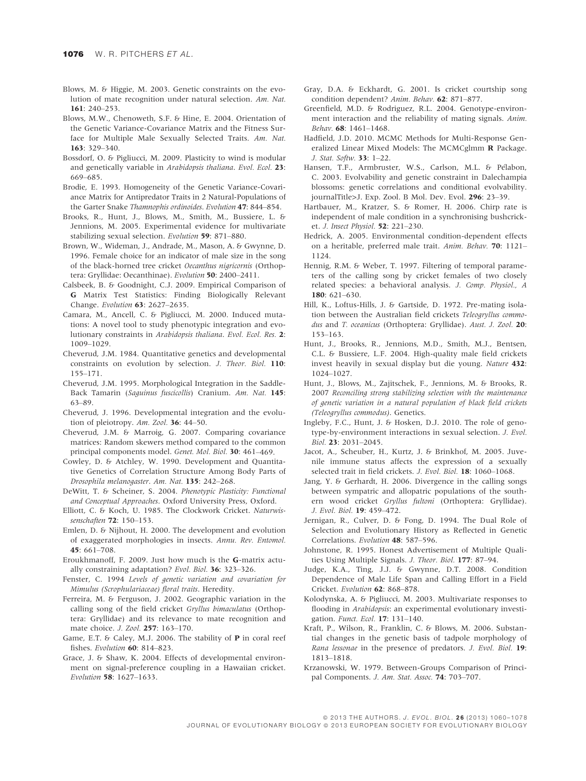- Blows, M. & Higgie, M. 2003. Genetic constraints on the evolution of mate recognition under natural selection. Am. Nat. 161: 240–253.
- Blows, M.W., Chenoweth, S.F. & Hine, E. 2004. Orientation of the Genetic Variance-Covariance Matrix and the Fitness Surface for Multiple Male Sexually Selected Traits. Am. Nat. 163: 329–340.
- Bossdorf, O. & Pigliucci, M. 2009. Plasticity to wind is modular and genetically variable in Arabidopsis thaliana. Evol. Ecol. 23: 669–685.
- Brodie, E. 1993. Homogeneity of the Genetic Variance-Covariance Matrix for Antipredator Traits in 2 Natural-Populations of the Garter Snake Thamnophis ordinoides. Evolution 47: 844–854.
- Brooks, R., Hunt, J., Blows, M., Smith, M., Bussiere, L. & Jennions, M. 2005. Experimental evidence for multivariate stabilizing sexual selection. Evolution 59: 871–880.
- Brown, W., Wideman, J., Andrade, M., Mason, A. & Gwynne, D. 1996. Female choice for an indicator of male size in the song of the black-horned tree cricket Oecanthus nigricornis (Orthoptera: Gryllidae: Oecanthinae). Evolution 50: 2400-2411.
- Calsbeek, B. & Goodnight, C.J. 2009. Empirical Comparison of G Matrix Test Statistics: Finding Biologically Relevant Change. Evolution 63: 2627–2635.
- Camara, M., Ancell, C. & Pigliucci, M. 2000. Induced mutations: A novel tool to study phenotypic integration and evolutionary constraints in Arabidopsis thaliana. Evol. Ecol. Res. 2: 1009–1029.
- Cheverud, J.M. 1984. Quantitative genetics and developmental constraints on evolution by selection. J. Theor. Biol. 110: 155–171.
- Cheverud, J.M. 1995. Morphological Integration in the Saddle-Back Tamarin (Saguinus fuscicollis) Cranium. Am. Nat. 145: 63–89.
- Cheverud, J. 1996. Developmental integration and the evolution of pleiotropy. Am. Zool. 36: 44-50.
- Cheverud, J.M. & Marroig, G. 2007. Comparing covariance matrices: Random skewers method compared to the common principal components model. Genet. Mol. Biol. 30: 461–469.
- Cowley, D. & Atchley, W. 1990. Development and Quantitative Genetics of Correlation Structure Among Body Parts of Drosophila melanogaster. Am. Nat. 135: 242–268.
- DeWitt, T. & Scheiner, S. 2004. Phenotypic Plasticity: Functional and Conceptual Approaches. Oxford University Press, Oxford.
- Elliott, C. & Koch, U. 1985. The Clockwork Cricket. Naturwissenschaften 72: 150–153.
- Emlen, D. & Nijhout, H. 2000. The development and evolution of exaggerated morphologies in insects. Annu. Rev. Entomol. 45: 661–708.
- Eroukhmanoff, F. 2009. Just how much is the G-matrix actually constraining adaptation? Evol. Biol. 36: 323–326.
- Fenster, C. 1994 Levels of genetic variation and covariation for Mimulus (Scrophulariaceae) floral traits. Heredity.
- Ferreira, M. & Ferguson, J. 2002. Geographic variation in the calling song of the field cricket Gryllus bimaculatus (Orthoptera: Gryllidae) and its relevance to mate recognition and mate choice. J. Zool. 257: 163–170.
- Game, E.T. & Caley, M.J. 2006. The stability of P in coral reef fishes. Evolution 60: 814–823.
- Grace, J. & Shaw, K. 2004. Effects of developmental environment on signal-preference coupling in a Hawaiian cricket. Evolution 58: 1627–1633.
- Gray, D.A. & Eckhardt, G. 2001. Is cricket courtship song condition dependent? Anim. Behav. 62: 871–877.
- Greenfield, M.D. & Rodriguez, R.L. 2004. Genotype-environment interaction and the reliability of mating signals. Anim. Behav. 68: 1461–1468.
- Hadfield, J.D. 2010. MCMC Methods for Multi-Response Generalized Linear Mixed Models: The MCMCglmm R Package. J. Stat. Softw. 33: 1–22.
- Hansen, T.F., Armbruster, W.S., Carlson, M.L. & Pélabon, C. 2003. Evolvability and genetic constraint in Dalechampia blossoms: genetic correlations and conditional evolvability. journalTitle>J. Exp. Zool. B Mol. Dev. Evol. 296: 23–39.
- Hartbauer, M., Kratzer, S. & Romer, H. 2006. Chirp rate is independent of male condition in a synchronising bushcricket. J. Insect Physiol. 52: 221–230.
- Hedrick, A. 2005. Environmental condition-dependent effects on a heritable, preferred male trait. Anim. Behav. 70: 1121– 1124.
- Hennig, R.M. & Weber, T. 1997. Filtering of temporal parameters of the calling song by cricket females of two closely related species: a behavioral analysis. J. Comp. Physiol., A 180: 621–630.
- Hill, K., Loftus-Hills, J. & Gartside, D. 1972. Pre-mating isolation between the Australian field crickets Teleogryllus commodus and T. oceanicus (Orthoptera: Gryllidae). Aust. J. Zool. 20: 153–163.
- Hunt, J., Brooks, R., Jennions, M.D., Smith, M.J., Bentsen, C.L. & Bussiere, L.F. 2004. High-quality male field crickets invest heavily in sexual display but die young. Nature 432: 1024–1027.
- Hunt, J., Blows, M., Zajitschek, F., Jennions, M. & Brooks, R. 2007 Reconciling strong stabilizing selection with the maintenance of genetic variation in a natural population of black field crickets (Teleogryllus commodus). Genetics.
- Ingleby, F.C., Hunt, J. & Hosken, D.J. 2010. The role of genotype-by-environment interactions in sexual selection. J. Evol. Biol. 23: 2031–2045.
- Jacot, A., Scheuber, H., Kurtz, J. & Brinkhof, M. 2005. Juvenile immune status affects the expression of a sexually selected trait in field crickets. J. Evol. Biol. 18: 1060–1068.
- Jang, Y. & Gerhardt, H. 2006. Divergence in the calling songs between sympatric and allopatric populations of the southern wood cricket Gryllus fultoni (Orthoptera: Gryllidae). J. Evol. Biol. 19: 459–472.
- Jernigan, R., Culver, D. & Fong, D. 1994. The Dual Role of Selection and Evolutionary History as Reflected in Genetic Correlations. Evolution 48: 587–596.
- Johnstone, R. 1995. Honest Advertisement of Multiple Qualities Using Multiple Signals. J. Theor. Biol. 177: 87–94.
- Judge, K.A., Ting, J.J. & Gwynne, D.T. 2008. Condition Dependence of Male Life Span and Calling Effort in a Field Cricket. Evolution 62: 868–878.
- Kolodynska, A. & Pigliucci, M. 2003. Multivariate responses to flooding in Arabidopsis: an experimental evolutionary investigation. Funct. Ecol. 17: 131–140.
- Kraft, P., Wilson, R., Franklin, C. & Blows, M. 2006. Substantial changes in the genetic basis of tadpole morphology of Rana lessonae in the presence of predators. J. Evol. Biol. 19: 1813–1818.
- Krzanowski, W. 1979. Between-Groups Comparison of Principal Components. J. Am. Stat. Assoc. 74: 703-707.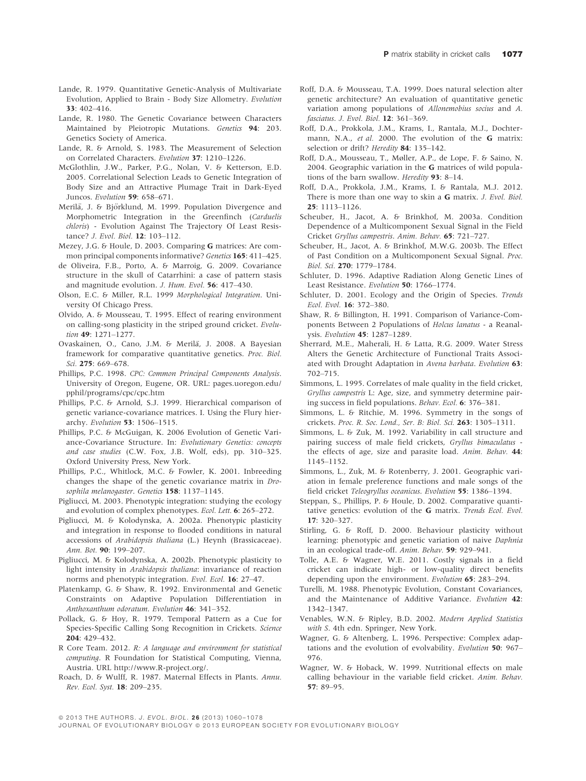- Lande, R. 1979. Quantitative Genetic-Analysis of Multivariate Evolution, Applied to Brain - Body Size Allometry. Evolution 33: 402–416.
- Lande, R. 1980. The Genetic Covariance between Characters Maintained by Pleiotropic Mutations. Genetics 94: 203. Genetics Society of America.
- Lande, R. & Arnold, S. 1983. The Measurement of Selection on Correlated Characters. Evolution 37: 1210–1226.
- McGlothlin, J.W., Parker, P.G., Nolan, V. & Ketterson, E.D. 2005. Correlational Selection Leads to Genetic Integration of Body Size and an Attractive Plumage Trait in Dark-Eyed Juncos. Evolution 59: 658-671.
- Merilä, J. & Björklund, M. 1999. Population Divergence and Morphometric Integration in the Greenfinch (Carduelis chloris) - Evolution Against The Trajectory Of Least Resistance? J. Evol. Biol. 12: 103–112.
- Mezey, J.G. & Houle, D. 2003. Comparing G matrices: Are common principal components informative? Genetics 165: 411-425.
- de Oliveira, F.B., Porto, A. & Marroig, G. 2009. Covariance structure in the skull of Catarrhini: a case of pattern stasis and magnitude evolution. J. Hum. Evol. 56: 417–430.
- Olson, E.C. & Miller, R.L. 1999 Morphological Integration. University Of Chicago Press.
- Olvido, A. & Mousseau, T. 1995. Effect of rearing environment on calling-song plasticity in the striped ground cricket. Evolution 49: 1271-1277.
- Ovaskainen, O., Cano, J.M. & Merilä, J. 2008. A Bayesian framework for comparative quantitative genetics. Proc. Biol. Sci. 275: 669–678.
- Phillips, P.C. 1998. CPC: Common Principal Components Analysis. University of Oregon, Eugene, OR. URL: pages.uoregon.edu/ pphil/programs/cpc/cpc.htm
- Phillips, P.C. & Arnold, S.J. 1999. Hierarchical comparison of genetic variance-covariance matrices. I. Using the Flury hierarchy. Evolution 53: 1506–1515.
- Phillips, P.C. & McGuigan, K. 2006 Evolution of Genetic Variance-Covariance Structure. In: Evolutionary Genetics: concepts and case studies (C.W. Fox, J.B. Wolf, eds), pp. 310–325. Oxford University Press, New York.
- Phillips, P.C., Whitlock, M.C. & Fowler, K. 2001. Inbreeding changes the shape of the genetic covariance matrix in Drosophila melanogaster. Genetics 158: 1137-1145.
- Pigliucci, M. 2003. Phenotypic integration: studying the ecology and evolution of complex phenotypes. Ecol. Lett. 6: 265-272.
- Pigliucci, M. & Kolodynska, A. 2002a. Phenotypic plasticity and integration in response to flooded conditions in natural accessions of Arabidopsis thaliana (L.) Heynh (Brassicaceae). Ann. Bot. 90: 199–207.
- Pigliucci, M. & Kolodynska, A. 2002b. Phenotypic plasticity to light intensity in Arabidopsis thaliana: invariance of reaction norms and phenotypic integration. Evol. Ecol. 16: 27–47.
- Platenkamp, G. & Shaw, R. 1992. Environmental and Genetic Constraints on Adaptive Population Differentiation in Anthoxanthum odoratum. Evolution 46: 341–352.
- Pollack, G. & Hoy, R. 1979. Temporal Pattern as a Cue for Species-Specific Calling Song Recognition in Crickets. Science 204: 429–432.
- R Core Team. 2012. R: A language and environment for statistical computing. R Foundation for Statistical Computing, Vienna, Austria. URL http://www.R-project.org/.
- Roach, D. & Wulff, R. 1987. Maternal Effects in Plants. Annu. Rev. Ecol. Syst. 18: 209–235.
- Roff, D.A. & Mousseau, T.A. 1999. Does natural selection alter genetic architecture? An evaluation of quantitative genetic variation among populations of Allonemobius socius and A. fasciatus. J. Evol. Biol. 12: 361–369.
- Roff, D.A., Prokkola, J.M., Krams, I., Rantala, M.J., Dochtermann, N.A., et al. 2000. The evolution of the **G** matrix: selection or drift? Heredity 84: 135-142.
- Roff, D.A., Mousseau, T., Møller, A.P., de Lope, F. & Saino, N. 2004. Geographic variation in the G matrices of wild populations of the barn swallow. Heredity 93: 8-14.
- Roff, D.A., Prokkola, J.M., Krams, I. & Rantala, M.J. 2012. There is more than one way to skin a G matrix. J. Evol. Biol. 25: 1113–1126.
- Scheuber, H., Jacot, A. & Brinkhof, M. 2003a. Condition Dependence of a Multicomponent Sexual Signal in the Field Cricket Gryllus campestris. Anim. Behav. 65: 721–727.
- Scheuber, H., Jacot, A. & Brinkhof, M.W.G. 2003b. The Effect of Past Condition on a Multicomponent Sexual Signal. Proc. Biol. Sci. 270: 1779–1784.
- Schluter, D. 1996. Adaptive Radiation Along Genetic Lines of Least Resistance. Evolution 50: 1766–1774.
- Schluter, D. 2001. Ecology and the Origin of Species. Trends Ecol. Evol. 16: 372–380.
- Shaw, R. & Billington, H. 1991. Comparison of Variance-Components Between 2 Populations of Holcus lanatus - a Reanalysis. Evolution 45: 1287–1289.
- Sherrard, M.E., Maherali, H. & Latta, R.G. 2009. Water Stress Alters the Genetic Architecture of Functional Traits Associated with Drought Adaptation in Avena barbata. Evolution 63: 702–715.
- Simmons, L. 1995. Correlates of male quality in the field cricket, Gryllus campestris L: Age, size, and symmetry determine pairing success in field populations. Behav. Ecol. 6: 376–381.
- Simmons, L. & Ritchie, M. 1996. Symmetry in the songs of crickets. Proc. R. Soc. Lond., Ser. B: Biol. Sci. 263: 1305–1311.
- Simmons, L. & Zuk, M. 1992. Variability in call structure and pairing success of male field crickets, Gryllus bimaculatus the effects of age, size and parasite load. Anim. Behav. 44: 1145–1152.
- Simmons, L., Zuk, M. & Rotenberry, J. 2001. Geographic variation in female preference functions and male songs of the field cricket Teleogryllus oceanicus. Evolution 55: 1386–1394.
- Steppan, S., Phillips, P. & Houle, D. 2002. Comparative quantitative genetics: evolution of the G matrix. Trends Ecol. Evol. 17: 320–327.
- Stirling, G. & Roff, D. 2000. Behaviour plasticity without learning: phenotypic and genetic variation of naive Daphnia in an ecological trade-off. Anim. Behav. 59: 929–941.
- Tolle, A.E. & Wagner, W.E. 2011. Costly signals in a field cricket can indicate high- or low-quality direct benefits depending upon the environment. Evolution 65: 283–294.
- Turelli, M. 1988. Phenotypic Evolution, Constant Covariances, and the Maintenance of Additive Variance. Evolution 42: 1342–1347.
- Venables, W.N. & Ripley, B.D. 2002. Modern Applied Statistics with S. 4th edn. Springer, New York.
- Wagner, G. & Altenberg, L. 1996. Perspective: Complex adaptations and the evolution of evolvability. Evolution 50: 967– 976.
- Wagner, W. & Hoback, W. 1999. Nutritional effects on male calling behaviour in the variable field cricket. Anim. Behav. 57: 89–95.

<sup>© 2013</sup> THE AUTHORS. J. EVOL. BIOL. 26 (2013) 1060-1078

JOURNAL OF EVOLUTIONARY BIOLOGY @ 2013 EUROPEAN SOCIETY FOR EVOLUTIONARY BIOLOGY